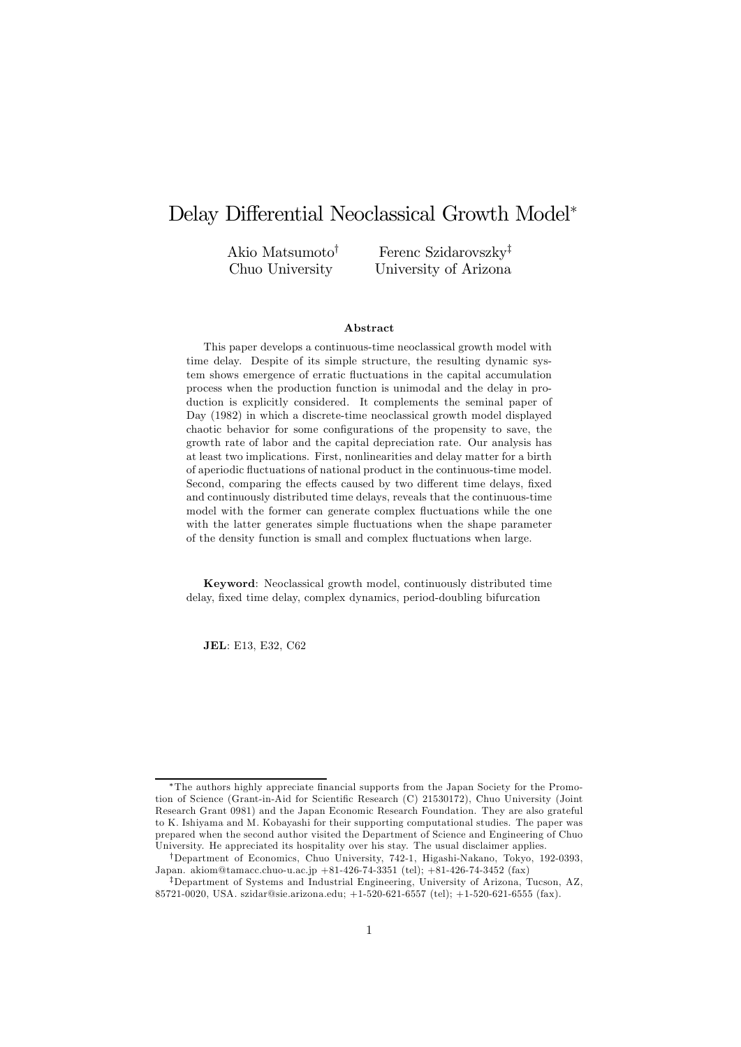# Delay Differential Neoclassical Growth Model<sup>∗</sup>

Akio Matsumoto† Chuo University

Ferenc Szidarovszky‡ University of Arizona

#### Abstract

This paper develops a continuous-time neoclassical growth model with time delay. Despite of its simple structure, the resulting dynamic system shows emergence of erratic fluctuations in the capital accumulation process when the production function is unimodal and the delay in production is explicitly considered. It complements the seminal paper of Day (1982) in which a discrete-time neoclassical growth model displayed chaotic behavior for some configurations of the propensity to save, the growth rate of labor and the capital depreciation rate. Our analysis has at least two implications. First, nonlinearities and delay matter for a birth of aperiodic fluctuations of national product in the continuous-time model. Second, comparing the effects caused by two different time delays, fixed and continuously distributed time delays, reveals that the continuous-time model with the former can generate complex fluctuations while the one with the latter generates simple fluctuations when the shape parameter of the density function is small and complex fluctuations when large.

Keyword: Neoclassical growth model, continuously distributed time delay, fixed time delay, complex dynamics, period-doubling bifurcation

JEL: E13, E32, C62

<sup>∗</sup>The authors highly appreciate financial supports from the Japan Society for the Promotion of Science (Grant-in-Aid for Scientific Research (C) 21530172), Chuo University (Joint Research Grant 0981) and the Japan Economic Research Foundation. They are also grateful to K. Ishiyama and M. Kobayashi for their supporting computational studies. The paper was prepared when the second author visited the Department of Science and Engineering of Chuo University. He appreciated its hospitality over his stay. The usual disclaimer applies.

<sup>†</sup>Department of Economics, Chuo University, 742-1, Higashi-Nakano, Tokyo, 192-0393, Japan. akiom@tamacc.chuo-u.ac.jp +81-426-74-3351 (tel); +81-426-74-3452 (fax)

<sup>‡</sup>Department of Systems and Industrial Engineering, University of Arizona, Tucson, AZ, 85721-0020, USA. szidar@sie.arizona.edu; +1-520-621-6557 (tel); +1-520-621-6555 (fax).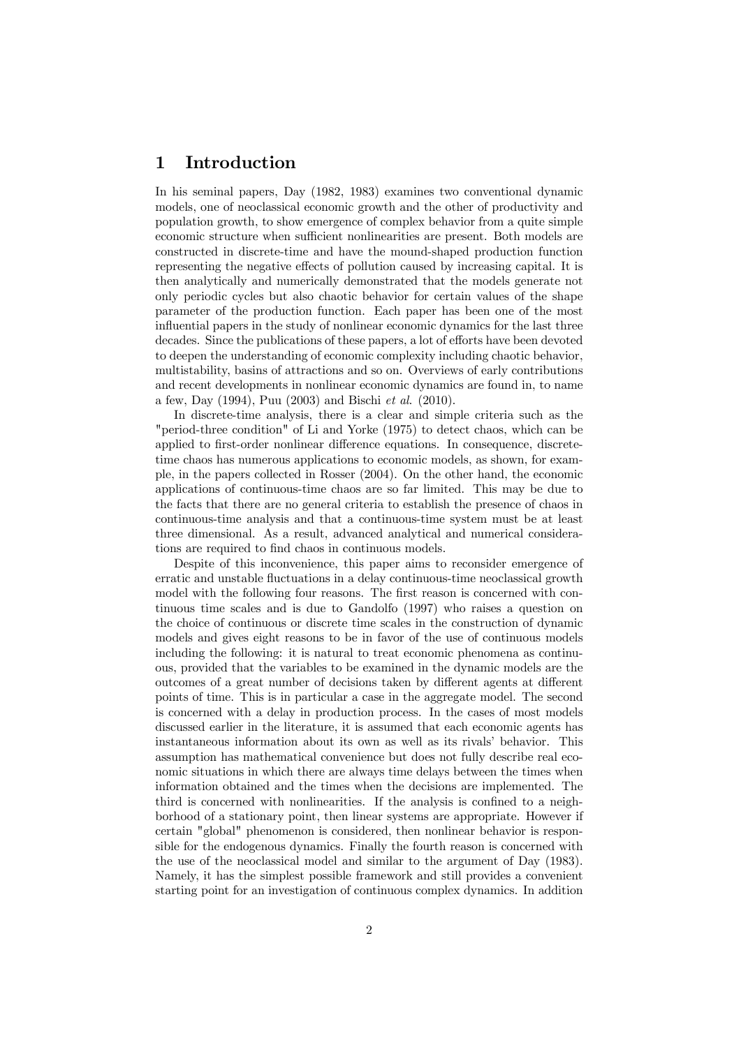### 1 Introduction

In his seminal papers, Day (1982, 1983) examines two conventional dynamic models, one of neoclassical economic growth and the other of productivity and population growth, to show emergence of complex behavior from a quite simple economic structure when sufficient nonlinearities are present. Both models are constructed in discrete-time and have the mound-shaped production function representing the negative effects of pollution caused by increasing capital. It is then analytically and numerically demonstrated that the models generate not only periodic cycles but also chaotic behavior for certain values of the shape parameter of the production function. Each paper has been one of the most influential papers in the study of nonlinear economic dynamics for the last three decades. Since the publications of these papers, a lot of efforts have been devoted to deepen the understanding of economic complexity including chaotic behavior, multistability, basins of attractions and so on. Overviews of early contributions and recent developments in nonlinear economic dynamics are found in, to name a few, Day (1994), Puu (2003) and Bischi *et al*. (2010).

In discrete-time analysis, there is a clear and simple criteria such as the "period-three condition" of Li and Yorke (1975) to detect chaos, which can be applied to first-order nonlinear difference equations. In consequence, discretetime chaos has numerous applications to economic models, as shown, for example, in the papers collected in Rosser (2004). On the other hand, the economic applications of continuous-time chaos are so far limited. This may be due to the facts that there are no general criteria to establish the presence of chaos in continuous-time analysis and that a continuous-time system must be at least three dimensional. As a result, advanced analytical and numerical considerations are required to find chaos in continuous models.

Despite of this inconvenience, this paper aims to reconsider emergence of erratic and unstable fluctuations in a delay continuous-time neoclassical growth model with the following four reasons. The first reason is concerned with continuous time scales and is due to Gandolfo (1997) who raises a question on the choice of continuous or discrete time scales in the construction of dynamic models and gives eight reasons to be in favor of the use of continuous models including the following: it is natural to treat economic phenomena as continuous, provided that the variables to be examined in the dynamic models are the outcomes of a great number of decisions taken by different agents at different points of time. This is in particular a case in the aggregate model. The second is concerned with a delay in production process. In the cases of most models discussed earlier in the literature, it is assumed that each economic agents has instantaneous information about its own as well as its rivals' behavior. This assumption has mathematical convenience but does not fully describe real economic situations in which there are always time delays between the times when information obtained and the times when the decisions are implemented. The third is concerned with nonlinearities. If the analysis is confined to a neighborhood of a stationary point, then linear systems are appropriate. However if certain "global" phenomenon is considered, then nonlinear behavior is responsible for the endogenous dynamics. Finally the fourth reason is concerned with the use of the neoclassical model and similar to the argument of Day (1983). Namely, it has the simplest possible framework and still provides a convenient starting point for an investigation of continuous complex dynamics. In addition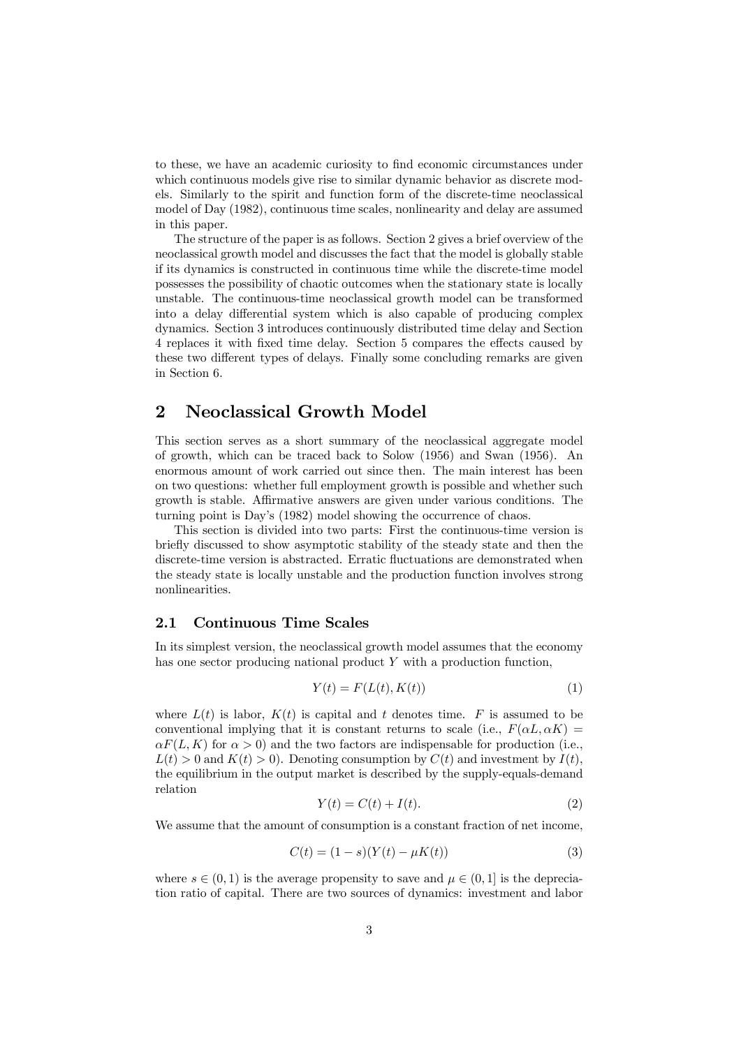to these, we have an academic curiosity to find economic circumstances under which continuous models give rise to similar dynamic behavior as discrete models. Similarly to the spirit and function form of the discrete-time neoclassical model of Day (1982), continuous time scales, nonlinearity and delay are assumed in this paper.

The structure of the paper is as follows. Section 2 gives a brief overview of the neoclassical growth model and discusses the fact that the model is globally stable if its dynamics is constructed in continuous time while the discrete-time model possesses the possibility of chaotic outcomes when the stationary state is locally unstable. The continuous-time neoclassical growth model can be transformed into a delay differential system which is also capable of producing complex dynamics. Section 3 introduces continuously distributed time delay and Section 4 replaces it with fixed time delay. Section 5 compares the effects caused by these two different types of delays. Finally some concluding remarks are given in Section 6.

## 2 Neoclassical Growth Model

This section serves as a short summary of the neoclassical aggregate model of growth, which can be traced back to Solow (1956) and Swan (1956). An enormous amount of work carried out since then. The main interest has been on two questions: whether full employment growth is possible and whether such growth is stable. Affirmative answers are given under various conditions. The turning point is Day's (1982) model showing the occurrence of chaos.

This section is divided into two parts: First the continuous-time version is briefly discussed to show asymptotic stability of the steady state and then the discrete-time version is abstracted. Erratic fluctuations are demonstrated when the steady state is locally unstable and the production function involves strong nonlinearities.

### 2.1 Continuous Time Scales

In its simplest version, the neoclassical growth model assumes that the economy has one sector producing national product Y with a production function,

$$
Y(t) = F(L(t), K(t))
$$
\n<sup>(1)</sup>

where  $L(t)$  is labor,  $K(t)$  is capital and t denotes time. F is assumed to be conventional implying that it is constant returns to scale (i.e.,  $F(\alpha L, \alpha K) =$  $\alpha F(L, K)$  for  $\alpha > 0$ ) and the two factors are indispensable for production (i.e.,  $L(t) > 0$  and  $K(t) > 0$ . Denoting consumption by  $C(t)$  and investment by  $I(t)$ , the equilibrium in the output market is described by the supply-equals-demand relation

$$
Y(t) = C(t) + I(t). \tag{2}
$$

We assume that the amount of consumption is a constant fraction of net income,

$$
C(t) = (1 - s)(Y(t) - \mu K(t))
$$
\n(3)

where  $s \in (0, 1)$  is the average propensity to save and  $\mu \in (0, 1]$  is the depreciation ratio of capital. There are two sources of dynamics: investment and labor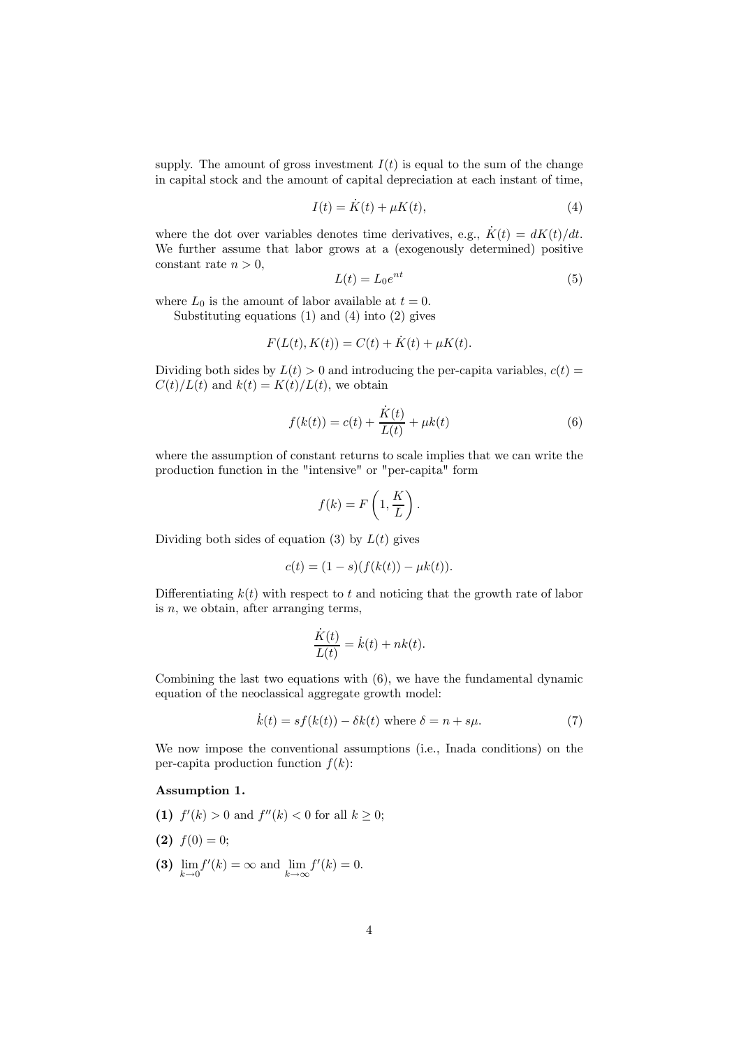supply. The amount of gross investment  $I(t)$  is equal to the sum of the change in capital stock and the amount of capital depreciation at each instant of time,

$$
I(t) = \dot{K}(t) + \mu K(t),\tag{4}
$$

where the dot over variables denotes time derivatives, e.g.,  $\dot{K}(t) = dK(t)/dt$ . We further assume that labor grows at a (exogenously determined) positive constant rate  $n > 0$ ,

$$
L(t) = L_0 e^{nt} \tag{5}
$$

where  $L_0$  is the amount of labor available at  $t = 0$ .

Substituting equations (1) and (4) into (2) gives

$$
F(L(t), K(t)) = C(t) + \dot{K}(t) + \mu K(t).
$$

Dividing both sides by  $L(t) > 0$  and introducing the per-capita variables,  $c(t) =$  $C(t)/L(t)$  and  $k(t) = K(t)/L(t)$ , we obtain

$$
f(k(t)) = c(t) + \frac{\dot{K}(t)}{L(t)} + \mu k(t)
$$
\n(6)

where the assumption of constant returns to scale implies that we can write the production function in the "intensive" or "per-capita" form

$$
f(k) = F\left(1, \frac{K}{L}\right).
$$

Dividing both sides of equation (3) by  $L(t)$  gives

$$
c(t) = (1 - s)(f(k(t)) - \mu k(t)).
$$

Differentiating  $k(t)$  with respect to t and noticing that the growth rate of labor is  $n$ , we obtain, after arranging terms,

$$
\frac{\dot{K}(t)}{L(t)} = \dot{k}(t) + nk(t).
$$

Combining the last two equations with (6), we have the fundamental dynamic equation of the neoclassical aggregate growth model:

$$
\dot{k}(t) = sf(k(t)) - \delta k(t) \text{ where } \delta = n + s\mu. \tag{7}
$$

We now impose the conventional assumptions (i.e., Inada conditions) on the per-capita production function  $f(k)$ :

### Assumption 1.

- (1)  $f'(k) > 0$  and  $f''(k) < 0$  for all  $k \ge 0$ ;
- (2)  $f(0) = 0$ ;
- (3)  $\lim_{k \to 0} f'(k) = \infty$  and  $\lim_{k \to \infty} f'(k) = 0$ .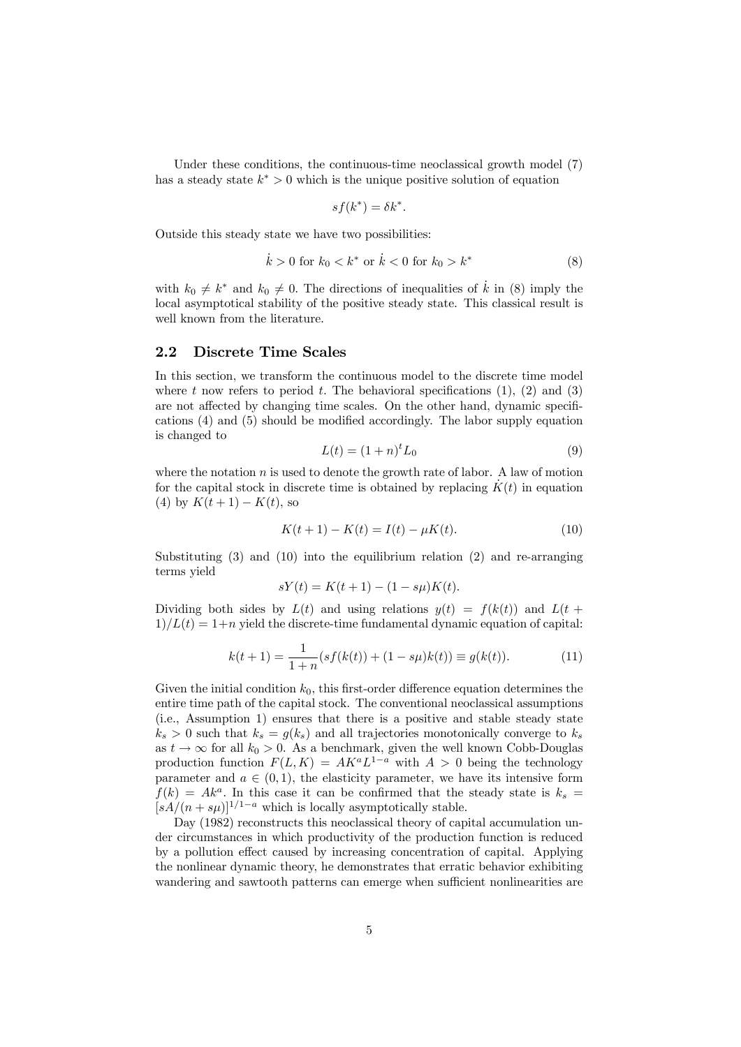Under these conditions, the continuous-time neoclassical growth model (7) has a steady state  $k^* > 0$  which is the unique positive solution of equation

$$
sf(k^*) = \delta k^*.
$$

Outside this steady state we have two possibilities:

$$
\dot{k} > 0 \text{ for } k_0 < k^* \text{ or } \dot{k} < 0 \text{ for } k_0 > k^* \tag{8}
$$

with  $k_0 \neq k^*$  and  $k_0 \neq 0$ . The directions of inequalities of  $\hat{k}$  in (8) imply the local asymptotical stability of the positive steady state. This classical result is well known from the literature.

### 2.2 Discrete Time Scales

In this section, we transform the continuous model to the discrete time model where t now refers to period t. The behavioral specifications  $(1)$ ,  $(2)$  and  $(3)$ are not affected by changing time scales. On the other hand, dynamic specifications (4) and (5) should be modified accordingly. The labor supply equation is changed to

$$
L(t) = (1+n)^t L_0
$$
\n(9)

where the notation  $n$  is used to denote the growth rate of labor. A law of motion for the capital stock in discrete time is obtained by replacing  $K(t)$  in equation (4) by  $K(t + 1) - K(t)$ , so

$$
K(t+1) - K(t) = I(t) - \mu K(t).
$$
\n(10)

Substituting (3) and (10) into the equilibrium relation (2) and re-arranging terms yield

$$
sY(t) = K(t+1) - (1 - s\mu)K(t).
$$

Dividing both sides by  $L(t)$  and using relations  $y(t) = f(k(t))$  and  $L(t +$  $1/L(t) = 1+n$  yield the discrete-time fundamental dynamic equation of capital:

$$
k(t+1) = \frac{1}{1+n}(sf(k(t)) + (1 - s\mu)k(t)) \equiv g(k(t)).
$$
\n(11)

Given the initial condition  $k_0$ , this first-order difference equation determines the entire time path of the capital stock. The conventional neoclassical assumptions (i.e., Assumption 1) ensures that there is a positive and stable steady state  $k_s > 0$  such that  $k_s = g(k_s)$  and all trajectories monotonically converge to  $k_s$ as  $t \to \infty$  for all  $k_0 > 0$ . As a benchmark, given the well known Cobb-Douglas production function  $F(L, K) = AK^aL^{1-a}$  with  $A > 0$  being the technology parameter and  $a \in (0,1)$ , the elasticity parameter, we have its intensive form  $f(k) = Ak<sup>a</sup>$ . In this case it can be confirmed that the steady state is  $k<sub>s</sub>$  =  $[sA/(n + s\mu)]^{1/1-a}$  which is locally asymptotically stable.

Day (1982) reconstructs this neoclassical theory of capital accumulation under circumstances in which productivity of the production function is reduced by a pollution effect caused by increasing concentration of capital. Applying the nonlinear dynamic theory, he demonstrates that erratic behavior exhibiting wandering and sawtooth patterns can emerge when sufficient nonlinearities are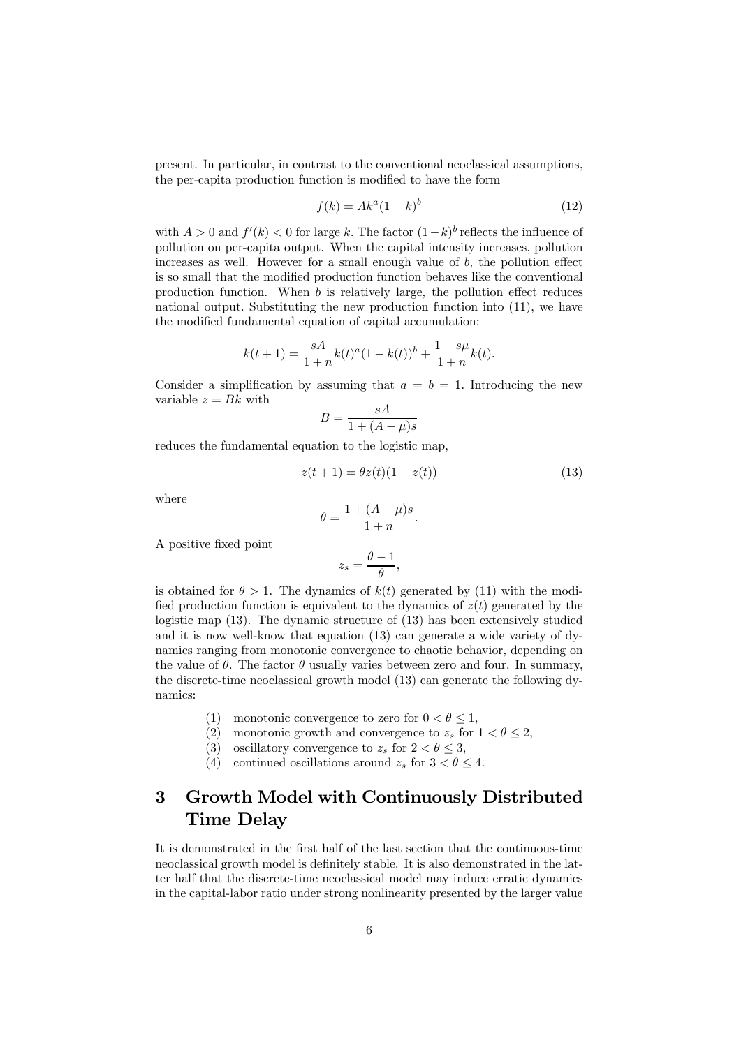present. In particular, in contrast to the conventional neoclassical assumptions, the per-capita production function is modified to have the form

$$
f(k) = Ak^a(1-k)^b
$$
\n(12)

with  $A > 0$  and  $f'(k) < 0$  for large k. The factor  $(1-k)^b$  reflects the influence of pollution on per-capita output. When the capital intensity increases, pollution increases as well. However for a small enough value of  $b$ , the pollution effect is so small that the modified production function behaves like the conventional production function. When b is relatively large, the pollution effect reduces national output. Substituting the new production function into (11), we have the modified fundamental equation of capital accumulation:

$$
k(t+1) = \frac{sA}{1+n}k(t)^{a}(1-k(t))^{b} + \frac{1-s\mu}{1+n}k(t).
$$

Consider a simplification by assuming that  $a = b = 1$ . Introducing the new variable  $z = Bk$  with

$$
B = \frac{sA}{1 + (A - \mu)s}
$$

reduces the fundamental equation to the logistic map,

$$
z(t+1) = \theta z(t)(1 - z(t))
$$
\n(13)

where

A positive fixed point

$$
\theta = \frac{1 + (A - \mu)s}{1 + n}.
$$

$$
z_s = \frac{\theta - 1}{\theta},
$$

is obtained for  $\theta > 1$ . The dynamics of  $k(t)$  generated by (11) with the modified production function is equivalent to the dynamics of  $z(t)$  generated by the logistic map (13). The dynamic structure of (13) has been extensively studied and it is now well-know that equation (13) can generate a wide variety of dynamics ranging from monotonic convergence to chaotic behavior, depending on the value of  $\theta$ . The factor  $\theta$  usually varies between zero and four. In summary, the discrete-time neoclassical growth model (13) can generate the following dynamics:

- (1) monotonic convergence to zero for  $0 < \theta \le 1$ ,<br>(2) monotonic growth and convergence to  $z_s$  for
- monotonic growth and convergence to  $z_s$  for  $1 < \theta \leq 2$ ,
- (3) oscillatory convergence to  $z_s$  for  $2 < \theta \leq 3$ ,
- (4) continued oscillations around  $z_s$  for  $3 < \theta \leq 4$ .

## 3 Growth Model with Continuously Distributed Time Delay

It is demonstrated in the first half of the last section that the continuous-time neoclassical growth model is definitely stable. It is also demonstrated in the latter half that the discrete-time neoclassical model may induce erratic dynamics in the capital-labor ratio under strong nonlinearity presented by the larger value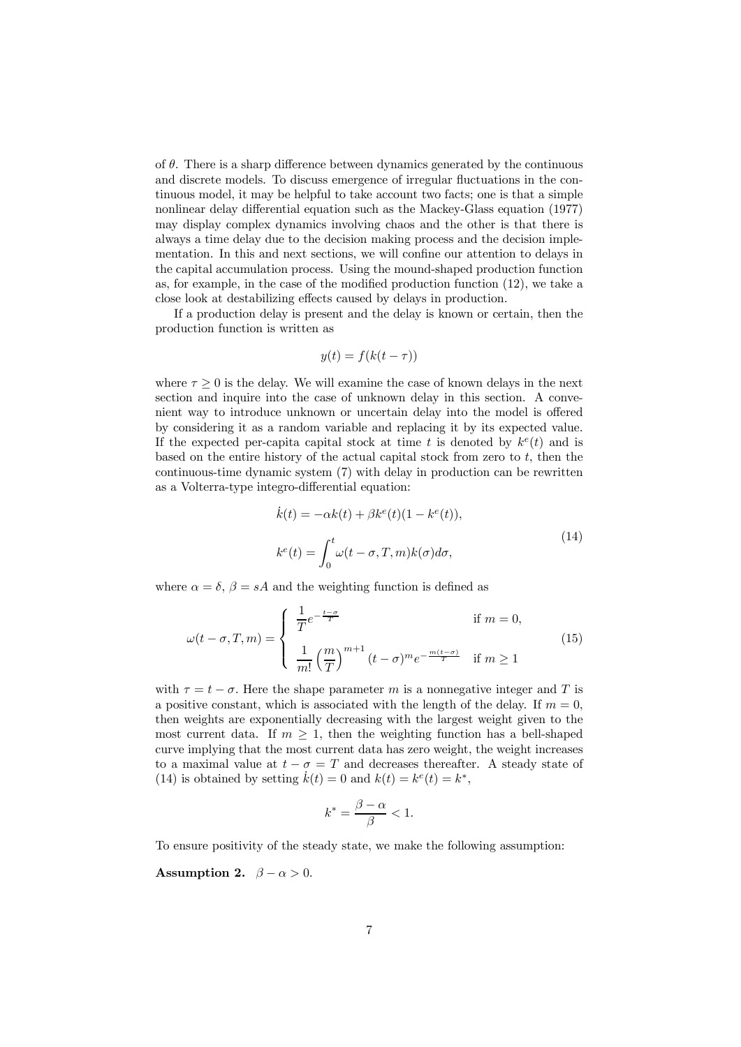of  $\theta$ . There is a sharp difference between dynamics generated by the continuous and discrete models. To discuss emergence of irregular fluctuations in the continuous model, it may be helpful to take account two facts; one is that a simple nonlinear delay differential equation such as the Mackey-Glass equation (1977) may display complex dynamics involving chaos and the other is that there is always a time delay due to the decision making process and the decision implementation. In this and next sections, we will confine our attention to delays in the capital accumulation process. Using the mound-shaped production function as, for example, in the case of the modified production function (12), we take a close look at destabilizing effects caused by delays in production.

If a production delay is present and the delay is known or certain, then the production function is written as

$$
y(t) = f(k(t - \tau))
$$

where  $\tau \geq 0$  is the delay. We will examine the case of known delays in the next section and inquire into the case of unknown delay in this section. A convenient way to introduce unknown or uncertain delay into the model is offered by considering it as a random variable and replacing it by its expected value. If the expected per-capita capital stock at time t is denoted by  $k^e(t)$  and is based on the entire history of the actual capital stock from zero to t, then the continuous-time dynamic system (7) with delay in production can be rewritten as a Volterra-type integro-differential equation:

$$
\dot{k}(t) = -\alpha k(t) + \beta k^{e}(t)(1 - k^{e}(t)),
$$
\n
$$
k^{e}(t) = \int_{0}^{t} \omega(t - \sigma, T, m)k(\sigma)d\sigma,
$$
\n(14)

where  $\alpha = \delta$ ,  $\beta = sA$  and the weighting function is defined as

$$
\omega(t-\sigma,T,m) = \begin{cases} \frac{1}{T}e^{-\frac{t-\sigma}{T}} & \text{if } m=0, \\ \frac{1}{m!} \left(\frac{m}{T}\right)^{m+1} (t-\sigma)^m e^{-\frac{m(t-\sigma)}{T}} & \text{if } m \ge 1 \end{cases}
$$
(15)

with  $\tau = t - \sigma$ . Here the shape parameter m is a nonnegative integer and T is a positive constant, which is associated with the length of the delay. If  $m = 0$ , then weights are exponentially decreasing with the largest weight given to the most current data. If  $m \geq 1$ , then the weighting function has a bell-shaped curve implying that the most current data has zero weight, the weight increases to a maximal value at  $t - \sigma = T$  and decreases thereafter. A steady state of (14) is obtained by setting  $\dot{k}(t) = 0$  and  $k(t) = k^e(t) = k^*,$ 

$$
k^* = \frac{\beta - \alpha}{\beta} < 1.
$$

To ensure positivity of the steady state, we make the following assumption:

Assumption 2.  $\beta - \alpha > 0$ .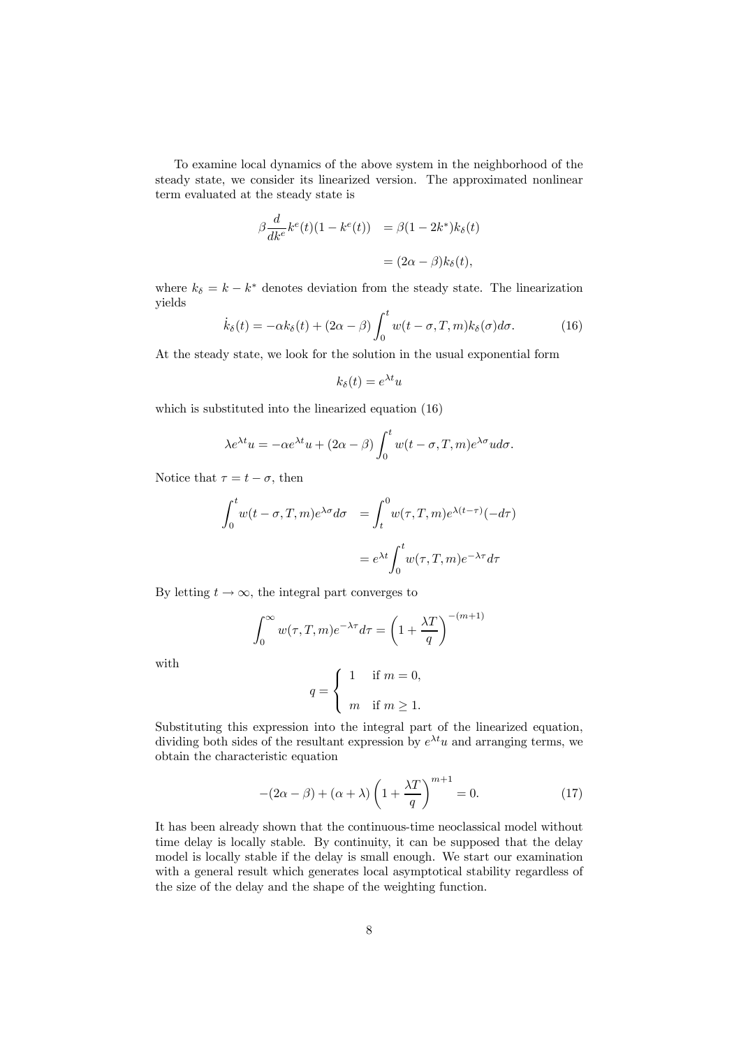To examine local dynamics of the above system in the neighborhood of the steady state, we consider its linearized version. The approximated nonlinear term evaluated at the steady state is

$$
\beta \frac{d}{dk^e} k^e(t)(1 - k^e(t)) = \beta (1 - 2k^*)k_\delta(t)
$$

$$
= (2\alpha - \beta)k_\delta(t),
$$

where  $k_{\delta} = k - k^*$  denotes deviation from the steady state. The linearization yields

$$
\dot{k}_{\delta}(t) = -\alpha k_{\delta}(t) + (2\alpha - \beta) \int_0^t w(t - \sigma, T, m) k_{\delta}(\sigma) d\sigma.
$$
 (16)

At the steady state, we look for the solution in the usual exponential form

$$
k_{\delta}(t) = e^{\lambda t}u
$$

which is substituted into the linearized equation (16)

$$
\lambda e^{\lambda t} u = -\alpha e^{\lambda t} u + (2\alpha - \beta) \int_0^t w(t - \sigma, T, m) e^{\lambda \sigma} u d\sigma.
$$

Notice that  $\tau = t - \sigma$ , then

$$
\int_0^t w(t-\sigma, T, m) e^{\lambda \sigma} d\sigma = \int_t^0 w(\tau, T, m) e^{\lambda(t-\tau)} (-d\tau)
$$

$$
= e^{\lambda t} \int_0^t w(\tau, T, m) e^{-\lambda \tau} d\tau
$$

By letting  $t \to \infty$ , the integral part converges to

$$
\int_0^\infty w(\tau, T, m) e^{-\lambda \tau} d\tau = \left(1 + \frac{\lambda T}{q}\right)^{-(m+1)}
$$

with

$$
q = \begin{cases} 1 & \text{if } m = 0, \\ m & \text{if } m \ge 1. \end{cases}
$$

Substituting this expression into the integral part of the linearized equation, dividing both sides of the resultant expression by  $e^{\lambda t}u$  and arranging terms, we obtain the characteristic equation

$$
-(2\alpha - \beta) + (\alpha + \lambda) \left(1 + \frac{\lambda T}{q}\right)^{m+1} = 0.
$$
 (17)

It has been already shown that the continuous-time neoclassical model without time delay is locally stable. By continuity, it can be supposed that the delay model is locally stable if the delay is small enough. We start our examination with a general result which generates local asymptotical stability regardless of the size of the delay and the shape of the weighting function.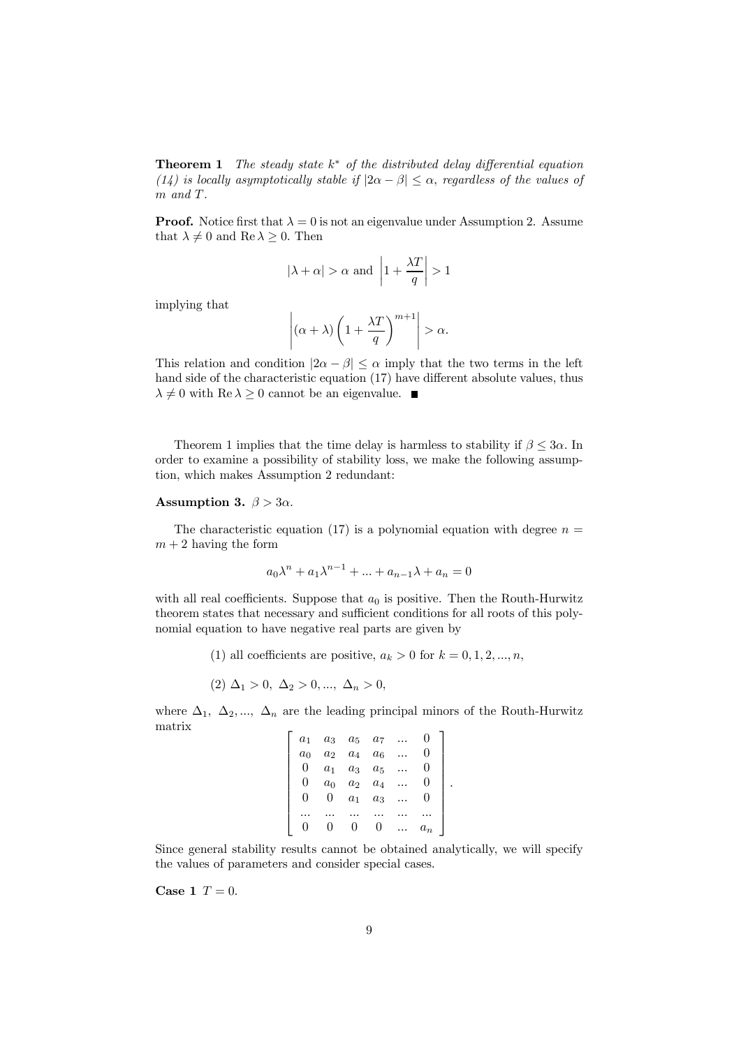Theorem 1 *The steady state* k <sup>∗</sup> *of the distributed delay differential equation (14) is locally asymptotically stable if*  $|2\alpha - \beta| \leq \alpha$ , *regardless of the values of* m *and* T*.*

**Proof.** Notice first that  $\lambda = 0$  is not an eigenvalue under Assumption 2. Assume that  $\lambda \neq 0$  and  $\text{Re }\lambda \geq 0$ . Then

$$
|\lambda + \alpha| > \alpha
$$
 and  $\left|1 + \frac{\lambda T}{q}\right| > 1$ 

implying that

$$
\left| (\alpha + \lambda) \left( 1 + \frac{\lambda T}{q} \right)^{m+1} \right| > \alpha.
$$

This relation and condition  $|2\alpha - \beta| \leq \alpha$  imply that the two terms in the left hand side of the characteristic equation (17) have different absolute values, thus  $\lambda \neq 0$  with Re  $\lambda \geq 0$  cannot be an eigenvalue.

Theorem 1 implies that the time delay is harmless to stability if  $\beta \leq 3\alpha$ . In order to examine a possibility of stability loss, we make the following assumption, which makes Assumption 2 redundant:

#### Assumption 3.  $\beta > 3\alpha$ .

The characteristic equation (17) is a polynomial equation with degree  $n =$  $m + 2$  having the form

$$
a_0\lambda^n + a_1\lambda^{n-1} + \dots + a_{n-1}\lambda + a_n = 0
$$

with all real coefficients. Suppose that  $a_0$  is positive. Then the Routh-Hurwitz theorem states that necessary and sufficient conditions for all roots of this polynomial equation to have negative real parts are given by

(1) all coefficients are positive,  $a_k > 0$  for  $k = 0, 1, 2, ..., n$ ,

$$
(2) \Delta_1 > 0, \Delta_2 > 0, ..., \Delta_n > 0,
$$

where  $\Delta_1$ ,  $\Delta_2$ , ...,  $\Delta_n$  are the leading principal minors of the Routh-Hurwitz matrix  $\sqrt{ }$ 

| a <sub>1</sub>   | $a_3$          | $\boldsymbol{a_5}$ | $a_7$ |       |
|------------------|----------------|--------------------|-------|-------|
| $a_0$            | a <sub>2</sub> | $a_4$              | $a_6$ |       |
| $\theta$         | a <sub>1</sub> | $a_3$              | $a_5$ |       |
| $\left( \right)$ | $a_0$          | a <sub>2</sub>     | $a_4$ |       |
| O                | U              | $a_1$              | $a_3$ |       |
|                  |                |                    |       |       |
|                  |                |                    |       | $a_n$ |

.

Since general stability results cannot be obtained analytically, we will specify the values of parameters and consider special cases.

Case 1  $T = 0$ .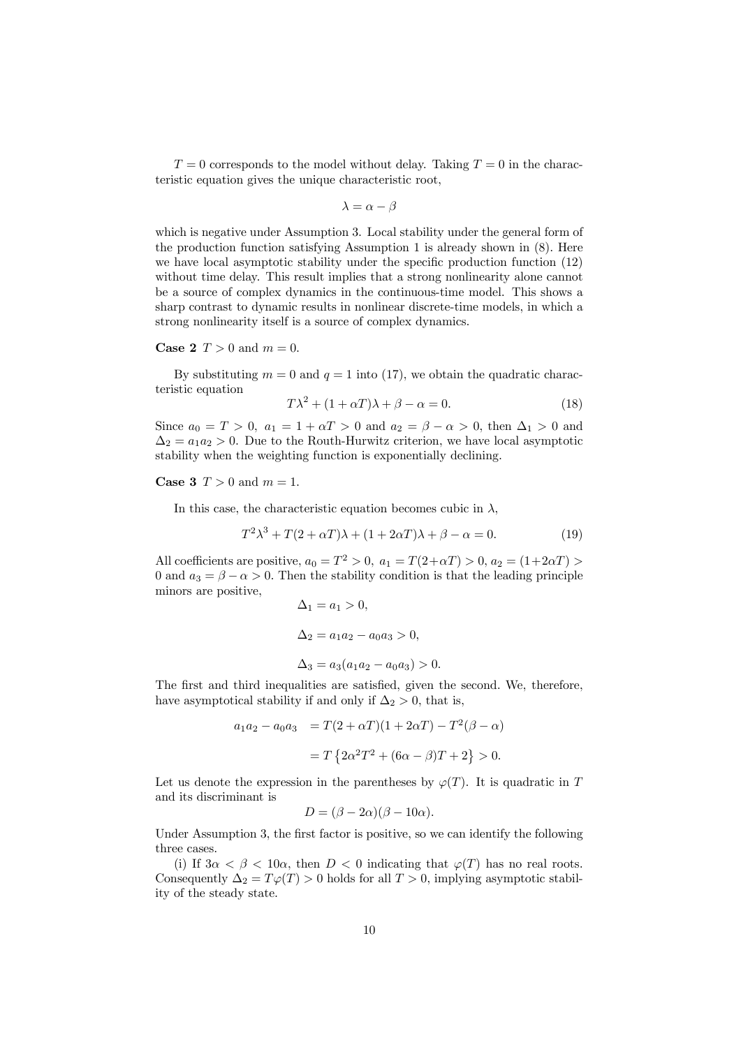$T = 0$  corresponds to the model without delay. Taking  $T = 0$  in the characteristic equation gives the unique characteristic root,

$$
\lambda = \alpha - \beta
$$

which is negative under Assumption 3. Local stability under the general form of the production function satisfying Assumption 1 is already shown in (8). Here we have local asymptotic stability under the specific production function (12) without time delay. This result implies that a strong nonlinearity alone cannot be a source of complex dynamics in the continuous-time model. This shows a sharp contrast to dynamic results in nonlinear discrete-time models, in which a strong nonlinearity itself is a source of complex dynamics.

**Case 2**  $T > 0$  and  $m = 0$ .

By substituting  $m = 0$  and  $q = 1$  into (17), we obtain the quadratic characteristic equation

$$
T\lambda^2 + (1 + \alpha T)\lambda + \beta - \alpha = 0.
$$
 (18)

Since  $a_0 = T > 0$ ,  $a_1 = 1 + \alpha T > 0$  and  $a_2 = \beta - \alpha > 0$ , then  $\Delta_1 > 0$  and  $\Delta_2 = a_1 a_2 > 0$ . Due to the Routh-Hurwitz criterion, we have local asymptotic stability when the weighting function is exponentially declining.

Case 3  $T > 0$  and  $m = 1$ .

In this case, the characteristic equation becomes cubic in  $\lambda$ ,

$$
T^{2}\lambda^{3} + T(2+\alpha T)\lambda + (1+2\alpha T)\lambda + \beta - \alpha = 0.
$$
 (19)

All coefficients are positive,  $a_0 = T^2 > 0$ ,  $a_1 = T(2+\alpha T) > 0$ ,  $a_2 = (1+2\alpha T) > 0$ 0 and  $a_3 = \beta - \alpha > 0$ . Then the stability condition is that the leading principle minors are positive,

$$
\Delta_1 = a_1 > 0,
$$
  
\n
$$
\Delta_2 = a_1 a_2 - a_0 a_3 > 0,
$$
  
\n
$$
\Delta_3 = a_3 (a_1 a_2 - a_0 a_3) > 0.
$$

The first and third inequalities are satisfied, given the second. We, therefore, have asymptotical stability if and only if  $\Delta_2 > 0$ , that is,

$$
a_1 a_2 - a_0 a_3 = T(2 + \alpha T)(1 + 2\alpha T) - T^2(\beta - \alpha)
$$
  
=  $T \{2\alpha^2 T^2 + (6\alpha - \beta)T + 2\} > 0.$ 

Let us denote the expression in the parentheses by  $\varphi(T)$ . It is quadratic in T and its discriminant is

$$
D = (\beta - 2\alpha)(\beta - 10\alpha).
$$

Under Assumption 3, the first factor is positive, so we can identify the following three cases.

(i) If  $3\alpha < \beta < 10\alpha$ , then  $D < 0$  indicating that  $\varphi(T)$  has no real roots. Consequently  $\Delta_2 = T\varphi(T) > 0$  holds for all  $T > 0$ , implying asymptotic stability of the steady state.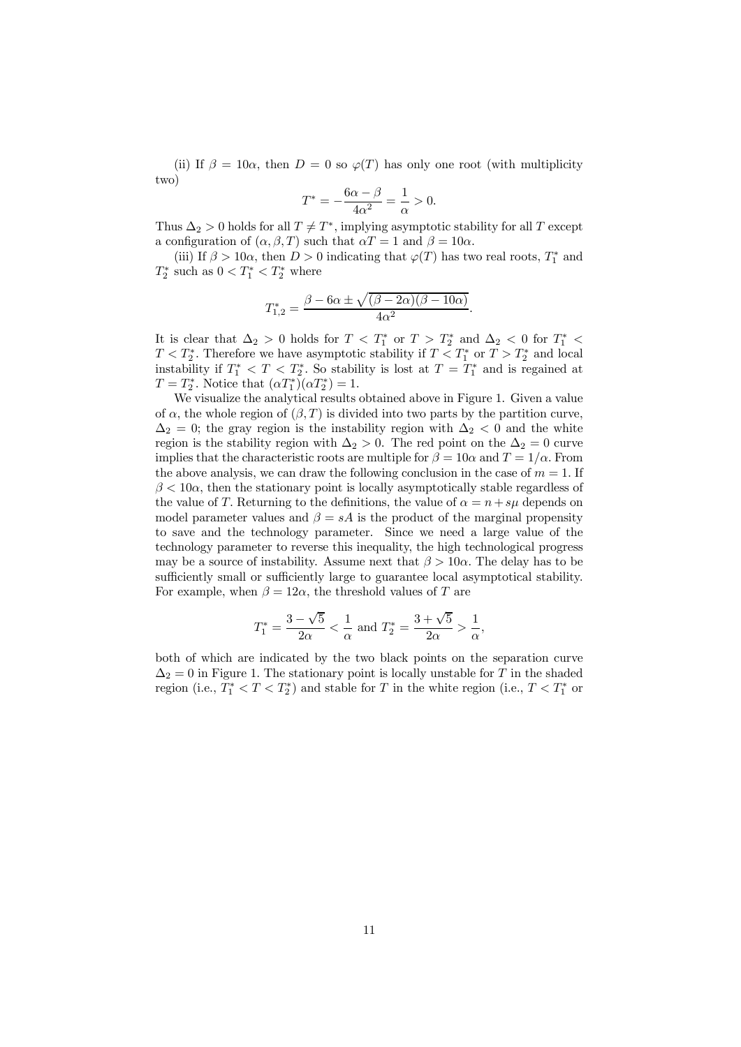(ii) If  $\beta = 10\alpha$ , then  $D = 0$  so  $\varphi(T)$  has only one root (with multiplicity two)

$$
T^* = -\frac{6\alpha - \beta}{4\alpha^2} = \frac{1}{\alpha} > 0.
$$

Thus  $\Delta_2 > 0$  holds for all  $T \neq T^*$ , implying asymptotic stability for all T except a configuration of  $(\alpha, \beta, T)$  such that  $\alpha T = 1$  and  $\beta = 10\alpha$ .

(iii) If  $\beta > 10\alpha$ , then  $D > 0$  indicating that  $\varphi(T)$  has two real roots,  $T_1^*$  and  $T_2^*$  such as  $0 < T_1^* < T_2^*$  where

$$
T_{1,2}^{*} = \frac{\beta - 6\alpha \pm \sqrt{(\beta - 2\alpha)(\beta - 10\alpha)}}{4\alpha^{2}}.
$$

It is clear that  $\Delta_2 > 0$  holds for  $T < T_1^*$  or  $T > T_2^*$  and  $\Delta_2 < 0$  for  $T_1^* <$  $T < T_2^*$ . Therefore we have asymptotic stability if  $T < T_1^*$  or  $T > T_2^*$  and local instability if  $T_1^* < T < T_2^*$ . So stability is lost at  $T = T_1^*$  and is regained at  $T = T_2^*$ . Notice that  $(\alpha T_1^*) (\alpha T_2^*) = 1$ .

We visualize the analytical results obtained above in Figure 1. Given a value of  $\alpha$ , the whole region of  $(\beta, T)$  is divided into two parts by the partition curve,  $\Delta_2 = 0$ ; the gray region is the instability region with  $\Delta_2 < 0$  and the white region is the stability region with  $\Delta_2 > 0$ . The red point on the  $\Delta_2 = 0$  curve implies that the characteristic roots are multiple for  $\beta = 10\alpha$  and  $T = 1/\alpha$ . From the above analysis, we can draw the following conclusion in the case of  $m = 1$ . If  $\beta < 10\alpha$ , then the stationary point is locally asymptotically stable regardless of the value of T. Returning to the definitions, the value of  $\alpha = n + s\mu$  depends on model parameter values and  $\beta = sA$  is the product of the marginal propensity to save and the technology parameter. Since we need a large value of the technology parameter to reverse this inequality, the high technological progress may be a source of instability. Assume next that  $\beta > 10\alpha$ . The delay has to be sufficiently small or sufficiently large to guarantee local asymptotical stability. For example, when  $\beta = 12\alpha$ , the threshold values of T are

$$
T_1^* = \frac{3 - \sqrt{5}}{2\alpha} < \frac{1}{\alpha}
$$
 and  $T_2^* = \frac{3 + \sqrt{5}}{2\alpha} > \frac{1}{\alpha}$ ,

both of which are indicated by the two black points on the separation curve  $\Delta_2 = 0$  in Figure 1. The stationary point is locally unstable for T in the shaded region (i.e.,  $T_1^* < T < T_2^*$ ) and stable for T in the white region (i.e.,  $T < T_1^*$ ) or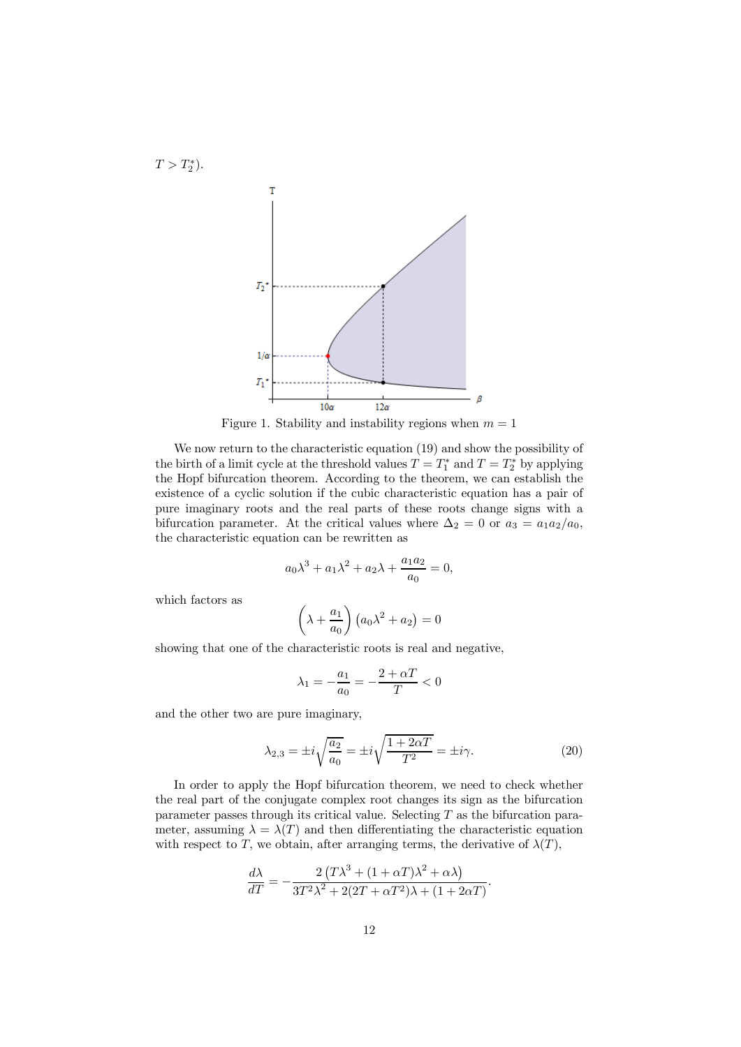

Figure 1. Stability and instability regions when  $m = 1$ 

We now return to the characteristic equation (19) and show the possibility of the birth of a limit cycle at the threshold values  $T = T_1^*$  and  $T = T_2^*$  by applying the Hopf bifurcation theorem. According to the theorem, we can establish the existence of a cyclic solution if the cubic characteristic equation has a pair of pure imaginary roots and the real parts of these roots change signs with a bifurcation parameter. At the critical values where  $\Delta_2 = 0$  or  $a_3 = a_1 a_2/a_0$ , the characteristic equation can be rewritten as

$$
a_0 \lambda^3 + a_1 \lambda^2 + a_2 \lambda + \frac{a_1 a_2}{a_0} = 0,
$$

which factors as

 $T > T_2^*$ ).

$$
\left(\lambda + \frac{a_1}{a_0}\right) \left(a_0 \lambda^2 + a_2\right) = 0
$$

showing that one of the characteristic roots is real and negative,

$$
\lambda_1 = -\frac{a_1}{a_0} = -\frac{2 + \alpha T}{T} < 0
$$

and the other two are pure imaginary,

$$
\lambda_{2,3} = \pm i \sqrt{\frac{a_2}{a_0}} = \pm i \sqrt{\frac{1 + 2\alpha T}{T^2}} = \pm i \gamma. \tag{20}
$$

In order to apply the Hopf bifurcation theorem, we need to check whether the real part of the conjugate complex root changes its sign as the bifurcation parameter passes through its critical value. Selecting  $T$  as the bifurcation parameter, assuming  $\lambda = \lambda(T)$  and then differentiating the characteristic equation with respect to T, we obtain, after arranging terms, the derivative of  $\lambda(T)$ ,

$$
\frac{d\lambda}{dT} = -\frac{2\left(T\lambda^3 + (1+\alpha T)\lambda^2 + \alpha\lambda\right)}{3T^2\lambda^2 + 2(2T + \alpha T^2)\lambda + (1 + 2\alpha T)}.
$$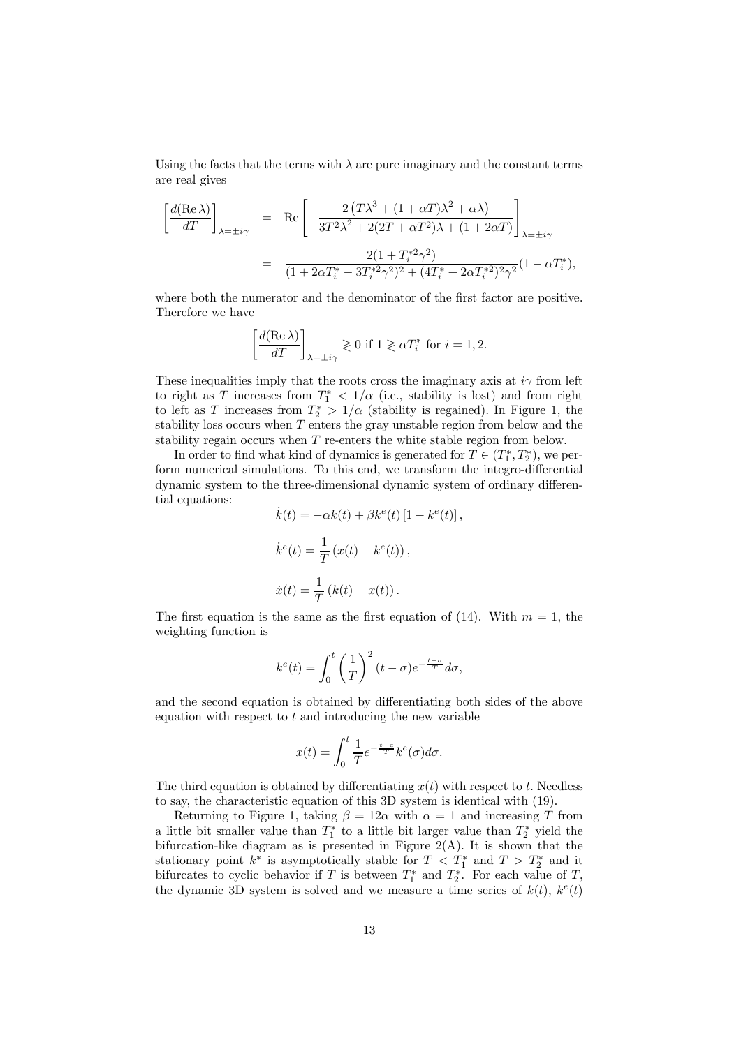Using the facts that the terms with  $\lambda$  are pure imaginary and the constant terms are real gives

$$
\left[\frac{d(\text{Re }\lambda)}{dT}\right]_{\lambda=\pm i\gamma} = \text{Re}\left[-\frac{2\left(T\lambda^3 + (1+\alpha T)\lambda^2 + \alpha\lambda\right)}{3T^2\lambda^2 + 2(2T+\alpha T^2)\lambda + (1+2\alpha T)}\right]_{\lambda=\pm i\gamma}
$$

$$
= \frac{2(1+T_i^*\gamma^2)}{(1+2\alpha T_i^* - 3T_i^*\gamma^2)^2 + (4T_i^* + 2\alpha T_i^*)^2\gamma^2}(1-\alpha T_i^*),
$$

where both the numerator and the denominator of the first factor are positive. Therefore we have

$$
\left[\frac{d(\text{Re }\lambda)}{dT}\right]_{\lambda=\pm i\gamma} \gtrless 0 \text{ if } 1 \gtrless \alpha T_i^* \text{ for } i = 1, 2.
$$

These inequalities imply that the roots cross the imaginary axis at  $i\gamma$  from left to right as T increases from  $T_1^*$  <  $1/\alpha$  (i.e., stability is lost) and from right to left as T increases from  $T_2^* > 1/\alpha$  (stability is regained). In Figure 1, the stability loss occurs when  $T$  enters the gray unstable region from below and the stability regain occurs when T re-enters the white stable region from below.

In order to find what kind of dynamics is generated for  $T \in (T_1^*, T_2^*)$ , we perform numerical simulations. To this end, we transform the integro-differential dynamic system to the three-dimensional dynamic system of ordinary differential equations:

$$
\dot{k}(t) = -\alpha k(t) + \beta k^{e}(t) [1 - k^{e}(t)],
$$
  

$$
\dot{k}^{e}(t) = \frac{1}{T} (x(t) - k^{e}(t)),
$$
  

$$
\dot{x}(t) = \frac{1}{T} (k(t) - x(t)).
$$

The first equation is the same as the first equation of (14). With  $m = 1$ , the weighting function is

$$
k^{e}(t) = \int_{0}^{t} \left(\frac{1}{T}\right)^{2} (t - \sigma)e^{-\frac{t - \sigma}{T}} d\sigma,
$$

and the second equation is obtained by differentiating both sides of the above equation with respect to  $t$  and introducing the new variable

$$
x(t) = \int_0^t \frac{1}{T} e^{-\frac{t-e}{T}} k^e(\sigma) d\sigma.
$$

The third equation is obtained by differentiating  $x(t)$  with respect to t. Needless to say, the characteristic equation of this 3D system is identical with (19).

Returning to Figure 1, taking  $\beta = 12\alpha$  with  $\alpha = 1$  and increasing T from a little bit smaller value than  $T_1^*$  to a little bit larger value than  $T_2^*$  yield the bifurcation-like diagram as is presented in Figure  $2(A)$ . It is shown that the stationary point  $k^*$  is asymptotically stable for  $T < T_1^*$  and  $T > T_2^*$  and it bifurcates to cyclic behavior if T is between  $T_1^*$  and  $T_2^*$ . For each value of T, the dynamic 3D system is solved and we measure a time series of  $k(t)$ ,  $k^e(t)$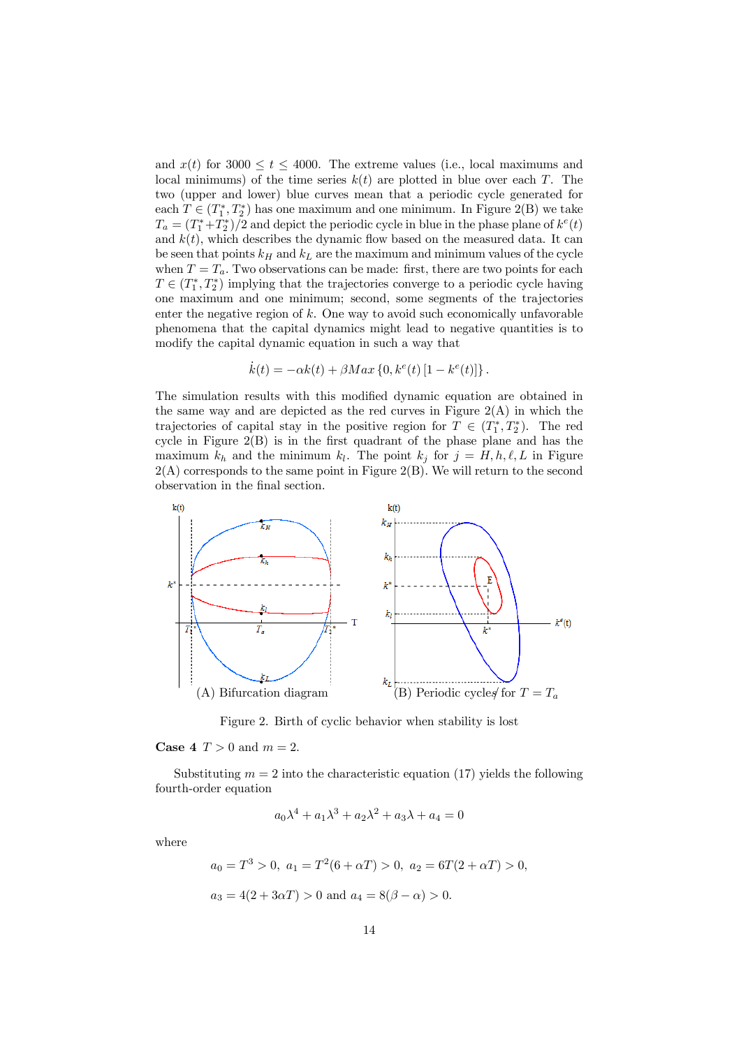and  $x(t)$  for 3000  $\leq t \leq 4000$ . The extreme values (i.e., local maximums and local minimums) of the time series  $k(t)$  are plotted in blue over each T. The two (upper and lower) blue curves mean that a periodic cycle generated for each  $T \in (T_1^*, T_2^*)$  has one maximum and one minimum. In Figure 2(B) we take  $T_a = (T_1^* + T_2^*)/2$  and depict the periodic cycle in blue in the phase plane of  $k^e(t)$ and  $k(t)$ , which describes the dynamic flow based on the measured data. It can be seen that points  $k_H$  and  $k_L$  are the maximum and minimum values of the cycle when  $T = T_a$ . Two observations can be made: first, there are two points for each  $T\in (T_{1}^{\ast},T_{2}^{\ast})$  implying that the trajectories converge to a periodic cycle having one maximum and one minimum; second, some segments of the trajectories enter the negative region of  $k$ . One way to avoid such economically unfavorable phenomena that the capital dynamics might lead to negative quantities is to modify the capital dynamic equation in such a way that

$$
\dot{k}(t) = -\alpha k(t) + \beta Max \{0, k^{e}(t) [1 - k^{e}(t)]\}.
$$

The simulation results with this modified dynamic equation are obtained in the same way and are depicted as the red curves in Figure  $2(A)$  in which the trajectories of capital stay in the positive region for  $T \in (T_1^*, T_2^*)$ . The red cycle in Figure 2(B) is in the first quadrant of the phase plane and has the maximum  $k_h$  and the minimum  $k_l$ . The point  $k_j$  for  $j = H, h, \ell, L$  in Figure  $2(A)$  corresponds to the same point in Figure  $2(B)$ . We will return to the second observation in the final section.



Figure 2. Birth of cyclic behavior when stability is lost

### **Case 4**  $T > 0$  and  $m = 2$ .

Substituting  $m = 2$  into the characteristic equation (17) yields the following fourth-order equation

$$
a_0 \lambda^4 + a_1 \lambda^3 + a_2 \lambda^2 + a_3 \lambda + a_4 = 0
$$

where

$$
a_0 = T^3 > 0
$$
,  $a_1 = T^2(6 + \alpha T) > 0$ ,  $a_2 = 6T(2 + \alpha T) > 0$ ,  
 $a_3 = 4(2 + 3\alpha T) > 0$  and  $a_4 = 8(\beta - \alpha) > 0$ .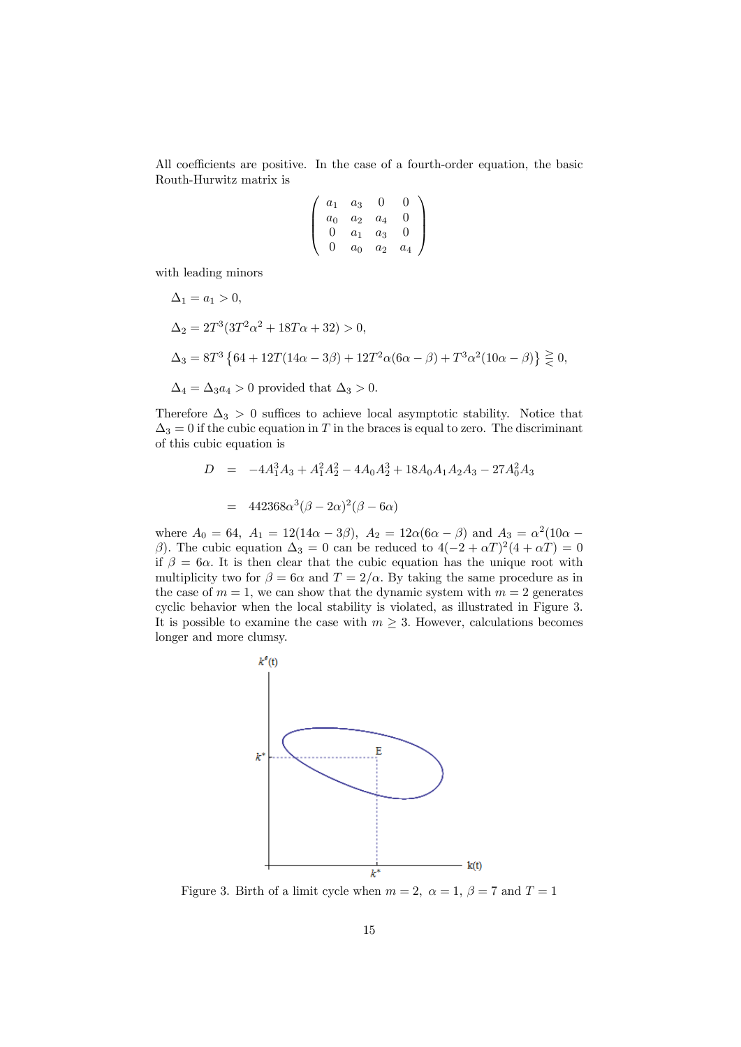All coefficients are positive. In the case of a fourth-order equation, the basic Routh-Hurwitz matrix is

$$
\left(\begin{array}{cccc} a_1 & a_3 & 0 & 0 \\ a_0 & a_2 & a_4 & 0 \\ 0 & a_1 & a_3 & 0 \\ 0 & a_0 & a_2 & a_4 \end{array}\right)
$$

with leading minors

$$
\Delta_1 = a_1 > 0,
$$
  
\n
$$
\Delta_2 = 2T^3(3T^2\alpha^2 + 18T\alpha + 32) > 0,
$$
  
\n
$$
\Delta_3 = 8T^3 \{ 64 + 12T(14\alpha - 3\beta) + 12T^2\alpha(6\alpha - \beta) + T^3\alpha^2(10\alpha - \beta) \} \gtrless 0,
$$
  
\n
$$
\Delta_4 = \Delta_3 a_4 > 0 \text{ provided that } \Delta_3 > 0.
$$

Therefore  $\Delta_3 > 0$  suffices to achieve local asymptotic stability. Notice that  $\Delta_3 = 0$  if the cubic equation in T in the braces is equal to zero. The discriminant of this cubic equation is

$$
D = -4A_1^3 A_3 + A_1^2 A_2^2 - 4A_0 A_2^3 + 18A_0 A_1 A_2 A_3 - 27A_0^2 A_3
$$

$$
= 442368\alpha^3(\beta - 2\alpha)^2(\beta - 6\alpha)
$$

where  $A_0 = 64$ ,  $A_1 = 12(14\alpha - 3\beta)$ ,  $A_2 = 12\alpha(6\alpha - \beta)$  and  $A_3 = \alpha^2(10\alpha - \beta)$ β). The cubic equation  $\Delta_3 = 0$  can be reduced to  $4(-2 + \alpha T)^2(4 + \alpha T) = 0$ if  $\beta = 6\alpha$ . It is then clear that the cubic equation has the unique root with multiplicity two for  $\beta = 6\alpha$  and  $T = 2/\alpha$ . By taking the same procedure as in the case of  $m = 1$ , we can show that the dynamic system with  $m = 2$  generates cyclic behavior when the local stability is violated, as illustrated in Figure 3. It is possible to examine the case with  $m \geq 3$ . However, calculations becomes longer and more clumsy.



Figure 3. Birth of a limit cycle when  $m = 2$ ,  $\alpha = 1$ ,  $\beta = 7$  and  $T = 1$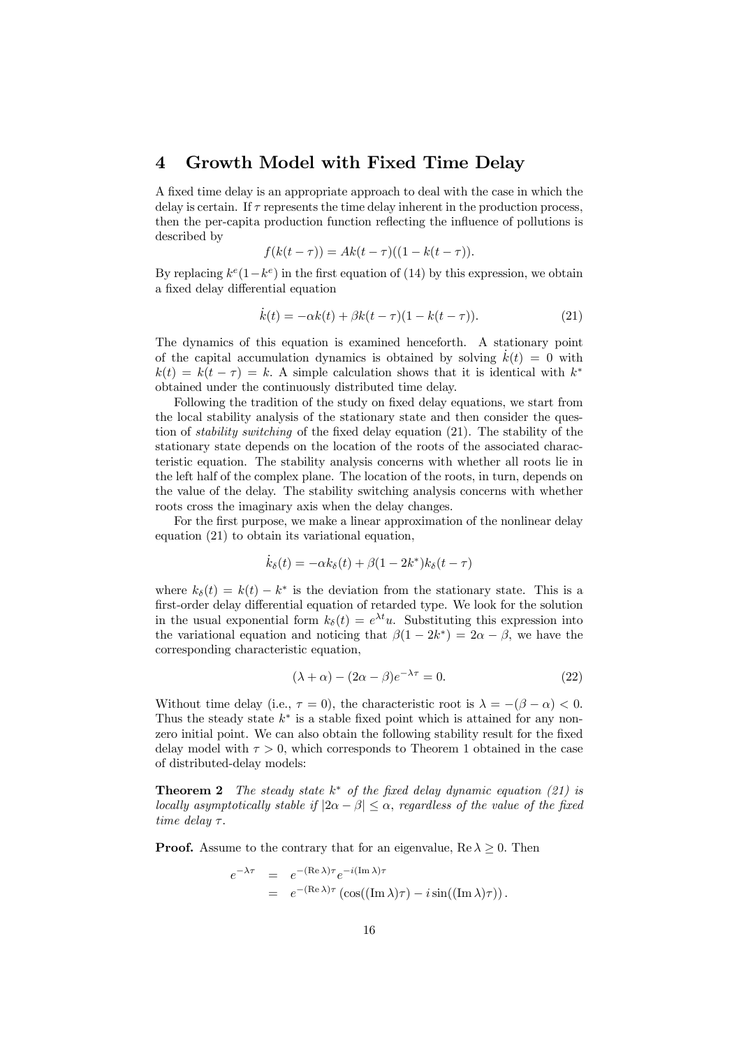### 4 Growth Model with Fixed Time Delay

A fixed time delay is an appropriate approach to deal with the case in which the delay is certain. If  $\tau$  represents the time delay inherent in the production process, then the per-capita production function reflecting the influence of pollutions is described by

$$
f(k(t - \tau)) = Ak(t - \tau)((1 - k(t - \tau)).
$$

By replacing  $k^{e}(1-k^{e})$  in the first equation of (14) by this expression, we obtain a fixed delay differential equation

$$
\dot{k}(t) = -\alpha k(t) + \beta k(t - \tau)(1 - k(t - \tau)).
$$
\n(21)

The dynamics of this equation is examined henceforth. A stationary point of the capital accumulation dynamics is obtained by solving  $k(t) = 0$  with  $k(t) = k(t - \tau) = k$ . A simple calculation shows that it is identical with  $k^*$ obtained under the continuously distributed time delay.

Following the tradition of the study on fixed delay equations, we start from the local stability analysis of the stationary state and then consider the question of *stability switching* of the fixed delay equation (21). The stability of the stationary state depends on the location of the roots of the associated characteristic equation. The stability analysis concerns with whether all roots lie in the left half of the complex plane. The location of the roots, in turn, depends on the value of the delay. The stability switching analysis concerns with whether roots cross the imaginary axis when the delay changes.

For the first purpose, we make a linear approximation of the nonlinear delay equation (21) to obtain its variational equation,

$$
\dot{k}_{\delta}(t) = -\alpha k_{\delta}(t) + \beta(1 - 2k^*)k_{\delta}(t - \tau)
$$

where  $k_\delta(t) = k(t) - k^*$  is the deviation from the stationary state. This is a first-order delay differential equation of retarded type. We look for the solution in the usual exponential form  $k_{\delta}(t) = e^{\lambda t}u$ . Substituting this expression into the variational equation and noticing that  $\beta(1-2k^*)=2\alpha-\beta$ , we have the corresponding characteristic equation,

$$
(\lambda + \alpha) - (2\alpha - \beta)e^{-\lambda \tau} = 0.
$$
 (22)

Without time delay (i.e.,  $\tau = 0$ ), the characteristic root is  $\lambda = -(\beta - \alpha) < 0$ . Thus the steady state  $k^*$  is a stable fixed point which is attained for any nonzero initial point. We can also obtain the following stability result for the fixed delay model with  $\tau > 0$ , which corresponds to Theorem 1 obtained in the case of distributed-delay models:

**Theorem 2** *The steady state*  $k^*$  *of the fixed delay dynamic equation (21) is locally asymptotically stable if*  $|2\alpha - \beta| \leq \alpha$ , *regardless of the value of the fixed time delay* τ.

**Proof.** Assume to the contrary that for an eigenvalue,  $\text{Re }\lambda \geq 0$ . Then

$$
e^{-\lambda \tau} = e^{-(\text{Re }\lambda)\tau} e^{-i(\text{Im }\lambda)\tau}
$$
  
= 
$$
e^{-(\text{Re }\lambda)\tau} (\cos((\text{Im }\lambda)\tau) - i \sin((\text{Im }\lambda)\tau)).
$$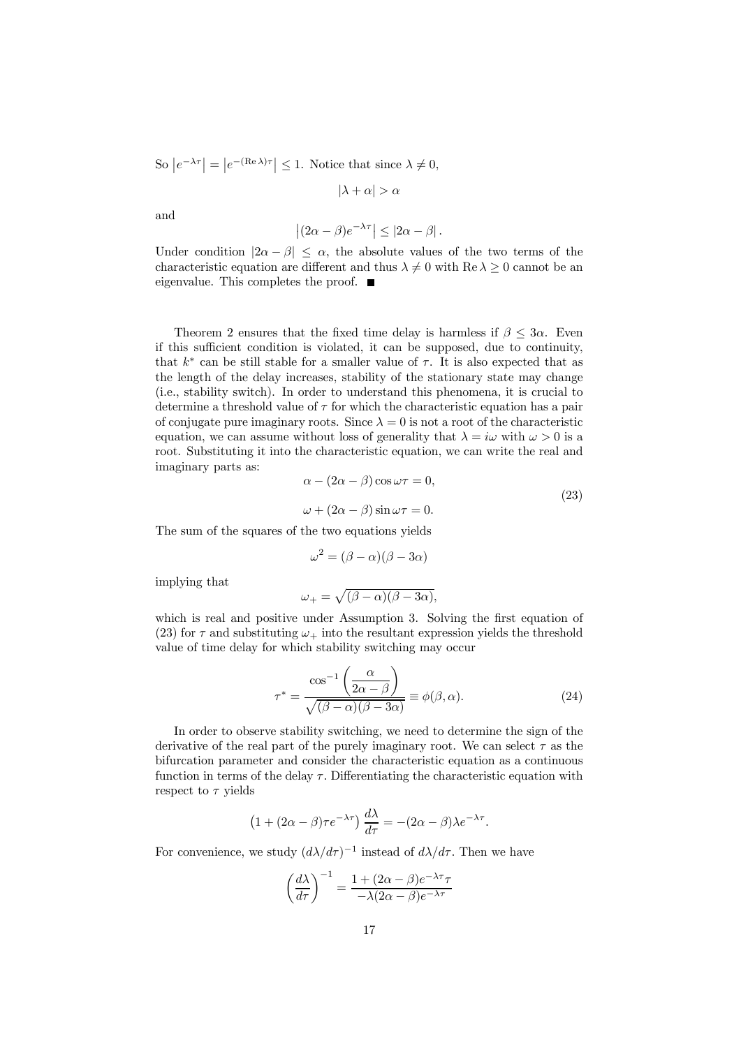So  $|e^{-\lambda \tau}| = |e^{-(\text{Re }\lambda)\tau}| \leq 1$ . Notice that since  $\lambda \neq 0$ ,

 $|\lambda + \alpha| > \alpha$ 

and

$$
\left| (2\alpha - \beta)e^{-\lambda \tau} \right| \leq \left| 2\alpha - \beta \right|.
$$

Under condition  $|2\alpha - \beta| \leq \alpha$ , the absolute values of the two terms of the characteristic equation are different and thus  $\lambda \neq 0$  with  $\text{Re }\lambda \geq 0$  cannot be an eigenvalue. This completes the proof.  $\blacksquare$ 

Theorem 2 ensures that the fixed time delay is harmless if  $\beta \leq 3\alpha$ . Even if this sufficient condition is violated, it can be supposed, due to continuity, that  $k^*$  can be still stable for a smaller value of  $\tau$ . It is also expected that as the length of the delay increases, stability of the stationary state may change (i.e., stability switch). In order to understand this phenomena, it is crucial to determine a threshold value of  $\tau$  for which the characteristic equation has a pair of conjugate pure imaginary roots. Since  $\lambda = 0$  is not a root of the characteristic equation, we can assume without loss of generality that  $\lambda = i\omega$  with  $\omega > 0$  is a root. Substituting it into the characteristic equation, we can write the real and imaginary parts as:

$$
\alpha - (2\alpha - \beta)\cos \omega \tau = 0,
$$
  

$$
\omega + (2\alpha - \beta)\sin \omega \tau = 0.
$$
 (23)

The sum of the squares of the two equations yields

$$
\omega^2 = (\beta - \alpha)(\beta - 3\alpha)
$$

implying that

$$
\omega_+ = \sqrt{(\beta - \alpha)(\beta - 3\alpha)},
$$

which is real and positive under Assumption 3. Solving the first equation of (23) for  $\tau$  and substituting  $\omega_{+}$  into the resultant expression yields the threshold value of time delay for which stability switching may occur

$$
\tau^* = \frac{\cos^{-1}\left(\frac{\alpha}{2\alpha - \beta}\right)}{\sqrt{(\beta - \alpha)(\beta - 3\alpha)}} \equiv \phi(\beta, \alpha). \tag{24}
$$

In order to observe stability switching, we need to determine the sign of the derivative of the real part of the purely imaginary root. We can select  $\tau$  as the bifurcation parameter and consider the characteristic equation as a continuous function in terms of the delay  $\tau$ . Differentiating the characteristic equation with respect to  $\tau$  yields

$$
(1 + (2\alpha - \beta)\tau e^{-\lambda \tau}) \frac{d\lambda}{d\tau} = -(2\alpha - \beta)\lambda e^{-\lambda \tau}.
$$

For convenience, we study  $(d\lambda/d\tau)^{-1}$  instead of  $d\lambda/d\tau$ . Then we have

$$
\left(\frac{d\lambda}{d\tau}\right)^{-1} = \frac{1 + (2\alpha - \beta)e^{-\lambda\tau}\tau}{-\lambda(2\alpha - \beta)e^{-\lambda\tau}}
$$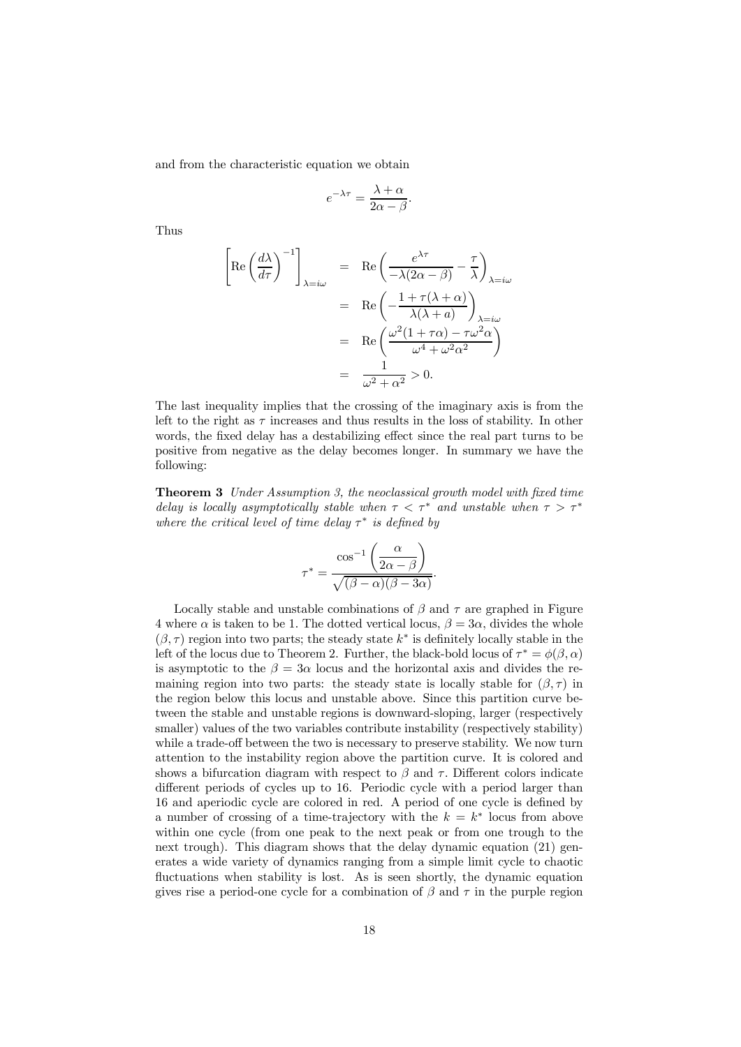and from the characteristic equation we obtain

$$
e^{-\lambda \tau} = \frac{\lambda + \alpha}{2\alpha - \beta}.
$$

Thus

$$
\left[ \text{Re}\left(\frac{d\lambda}{d\tau}\right)^{-1} \right]_{\lambda=i\omega} = \text{Re}\left(\frac{e^{\lambda\tau}}{-\lambda(2\alpha-\beta)} - \frac{\tau}{\lambda}\right)_{\lambda=i\omega}
$$

$$
= \text{Re}\left(-\frac{1+\tau(\lambda+\alpha)}{\lambda(\lambda+a)}\right)_{\lambda=i\omega}
$$

$$
= \text{Re}\left(\frac{\omega^2(1+\tau\alpha)-\tau\omega^2\alpha}{\omega^4+\omega^2\alpha^2}\right)
$$

$$
= \frac{1}{\omega^2+\alpha^2} > 0.
$$

The last inequality implies that the crossing of the imaginary axis is from the left to the right as  $\tau$  increases and thus results in the loss of stability. In other words, the fixed delay has a destabilizing effect since the real part turns to be positive from negative as the delay becomes longer. In summary we have the following:

Theorem 3 *Under Assumption 3, the neoclassical growth model with fixed time delay is locally asymptotically stable when*  $\tau < \tau^*$  *and unstable when*  $\tau > \tau^*$ *where the critical level of time delay* τ<sup>\*</sup> *is defined by* 

$$
\tau^* = \frac{\cos^{-1}\left(\frac{\alpha}{2\alpha - \beta}\right)}{\sqrt{(\beta - \alpha)(\beta - 3\alpha)}}.
$$

Locally stable and unstable combinations of  $\beta$  and  $\tau$  are graphed in Figure 4 where  $\alpha$  is taken to be 1. The dotted vertical locus,  $\beta = 3\alpha$ , divides the whole  $(\beta, \tau)$  region into two parts; the steady state  $k^*$  is definitely locally stable in the left of the locus due to Theorem 2. Further, the black-bold locus of  $\tau^* = \phi(\beta, \alpha)$ is asymptotic to the  $\beta = 3\alpha$  locus and the horizontal axis and divides the remaining region into two parts: the steady state is locally stable for  $(\beta, \tau)$  in the region below this locus and unstable above. Since this partition curve between the stable and unstable regions is downward-sloping, larger (respectively smaller) values of the two variables contribute instability (respectively stability) while a trade-off between the two is necessary to preserve stability. We now turn attention to the instability region above the partition curve. It is colored and shows a bifurcation diagram with respect to  $\beta$  and  $\tau$ . Different colors indicate different periods of cycles up to 16. Periodic cycle with a period larger than 16 and aperiodic cycle are colored in red. A period of one cycle is defined by a number of crossing of a time-trajectory with the  $k = k^*$  locus from above within one cycle (from one peak to the next peak or from one trough to the next trough). This diagram shows that the delay dynamic equation (21) generates a wide variety of dynamics ranging from a simple limit cycle to chaotic fluctuations when stability is lost. As is seen shortly, the dynamic equation gives rise a period-one cycle for a combination of  $\beta$  and  $\tau$  in the purple region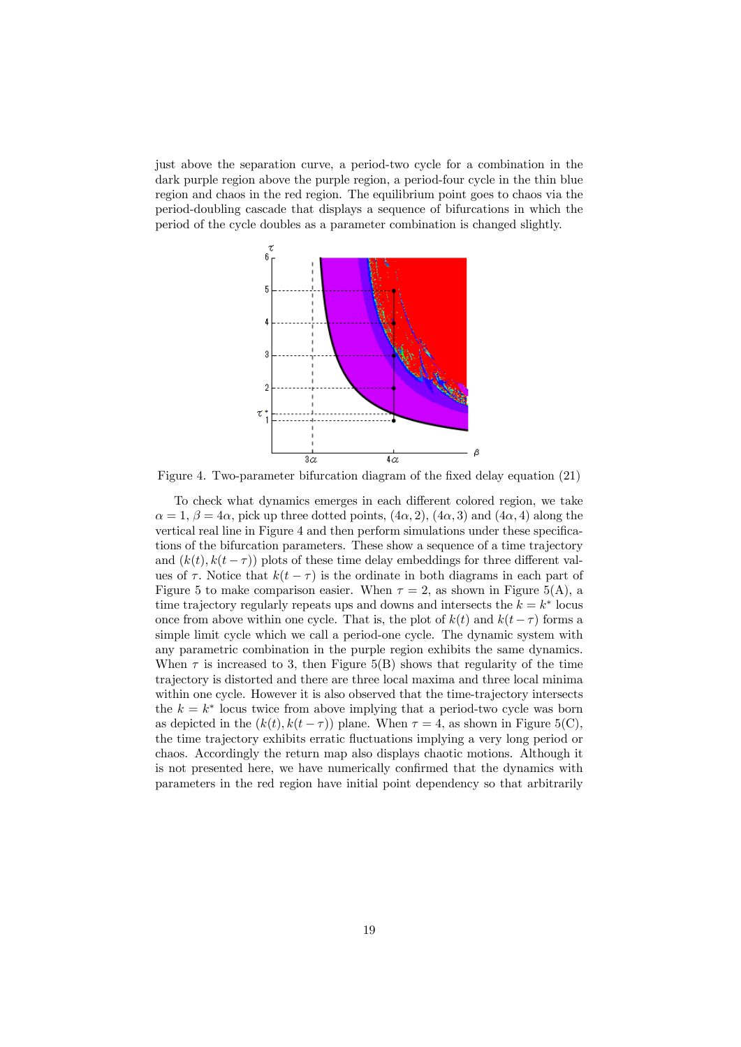just above the separation curve, a period-two cycle for a combination in the dark purple region above the purple region, a period-four cycle in the thin blue region and chaos in the red region. The equilibrium point goes to chaos via the period-doubling cascade that displays a sequence of bifurcations in which the period of the cycle doubles as a parameter combination is changed slightly.



Figure 4. Two-parameter bifurcation diagram of the fixed delay equation (21)

To check what dynamics emerges in each different colored region, we take  $\alpha = 1, \beta = 4\alpha$ , pick up three dotted points,  $(4\alpha, 2), (4\alpha, 3)$  and  $(4\alpha, 4)$  along the vertical real line in Figure 4 and then perform simulations under these specifications of the bifurcation parameters. These show a sequence of a time trajectory and  $(k(t), k(t-\tau))$  plots of these time delay embeddings for three different values of  $\tau$ . Notice that  $k(t - \tau)$  is the ordinate in both diagrams in each part of Figure 5 to make comparison easier. When  $\tau = 2$ , as shown in Figure 5(A), a time trajectory regularly repeats ups and downs and intersects the  $k = k^*$  locus once from above within one cycle. That is, the plot of  $k(t)$  and  $k(t - \tau)$  forms a simple limit cycle which we call a period-one cycle. The dynamic system with any parametric combination in the purple region exhibits the same dynamics. When  $\tau$  is increased to 3, then Figure 5(B) shows that regularity of the time trajectory is distorted and there are three local maxima and three local minima within one cycle. However it is also observed that the time-trajectory intersects the  $k = k^*$  locus twice from above implying that a period-two cycle was born as depicted in the  $(k(t), k(t - \tau))$  plane. When  $\tau = 4$ , as shown in Figure 5(C), the time trajectory exhibits erratic fluctuations implying a very long period or chaos. Accordingly the return map also displays chaotic motions. Although it is not presented here, we have numerically confirmed that the dynamics with parameters in the red region have initial point dependency so that arbitrarily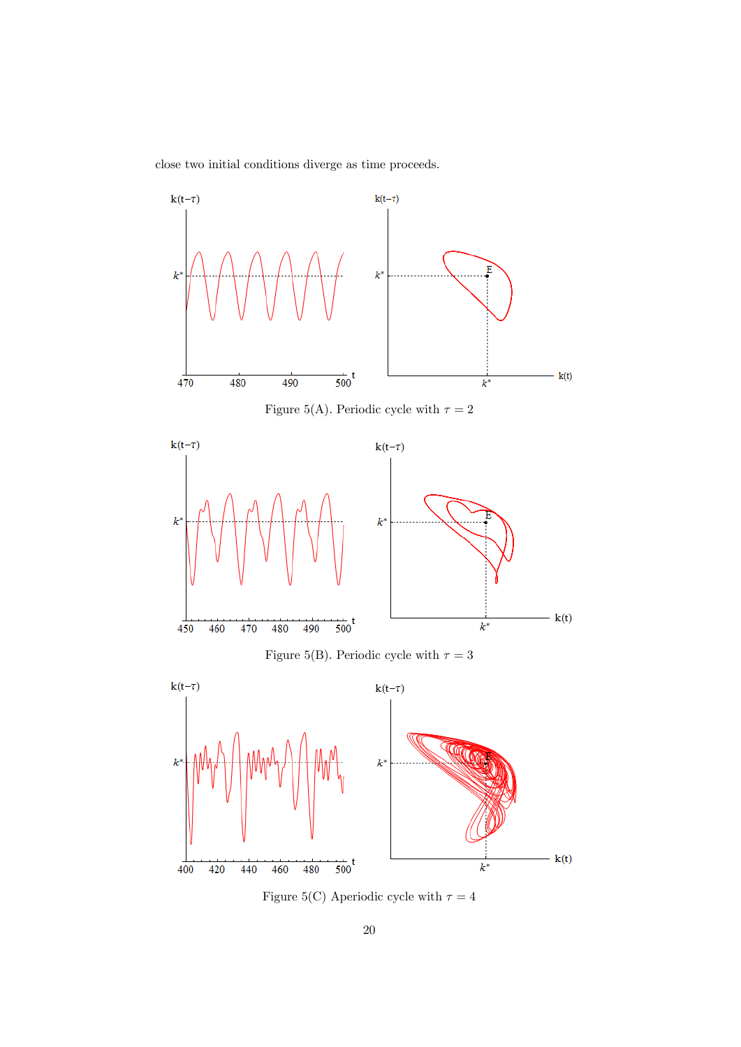close two initial conditions diverge as time proceeds.



Figure 5(C) Aperiodic cycle with  $\tau = 4$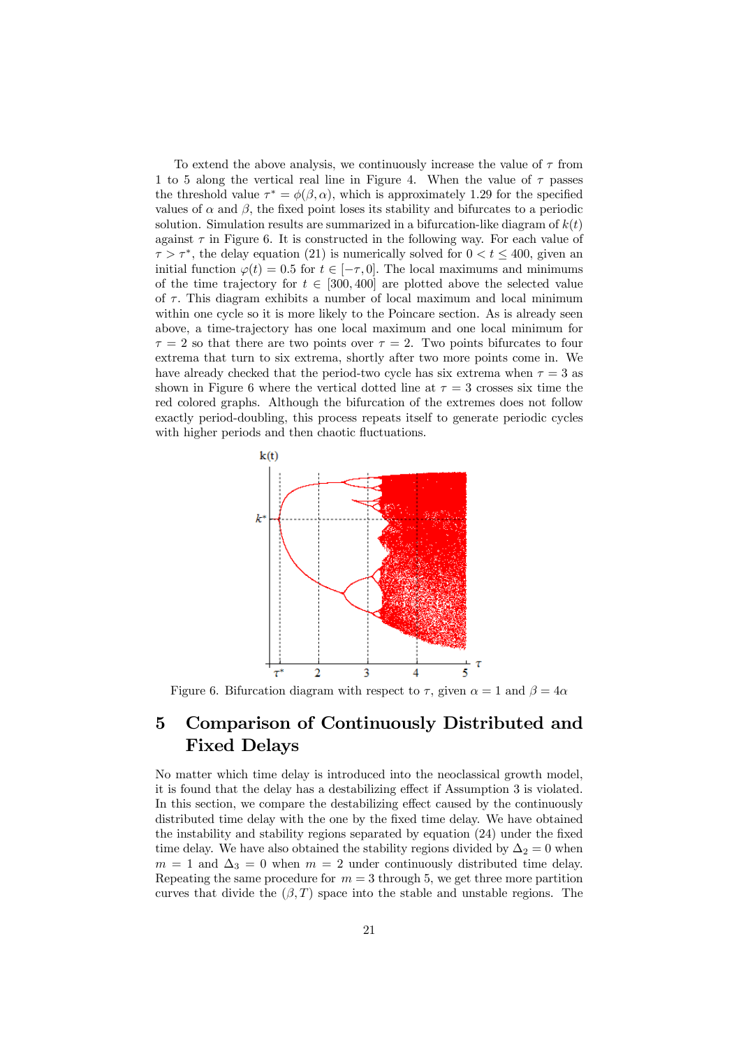To extend the above analysis, we continuously increase the value of  $\tau$  from 1 to 5 along the vertical real line in Figure 4. When the value of  $\tau$  passes the threshold value  $\tau^* = \phi(\beta, \alpha)$ , which is approximately 1.29 for the specified values of  $\alpha$  and  $\beta$ , the fixed point loses its stability and bifurcates to a periodic solution. Simulation results are summarized in a bifurcation-like diagram of  $k(t)$ against  $\tau$  in Figure 6. It is constructed in the following way. For each value of  $\tau > \tau^*$ , the delay equation (21) is numerically solved for  $0 < t \leq 400$ , given an initial function  $\varphi(t) = 0.5$  for  $t \in [-\tau, 0]$ . The local maximums and minimums of the time trajectory for  $t \in [300, 400]$  are plotted above the selected value of  $\tau$ . This diagram exhibits a number of local maximum and local minimum within one cycle so it is more likely to the Poincare section. As is already seen above, a time-trajectory has one local maximum and one local minimum for  $\tau = 2$  so that there are two points over  $\tau = 2$ . Two points bifurcates to four extrema that turn to six extrema, shortly after two more points come in. We have already checked that the period-two cycle has six extrema when  $\tau = 3$  as shown in Figure 6 where the vertical dotted line at  $\tau = 3$  crosses six time the red colored graphs. Although the bifurcation of the extremes does not follow exactly period-doubling, this process repeats itself to generate periodic cycles with higher periods and then chaotic fluctuations.



Figure 6. Bifurcation diagram with respect to  $\tau$ , given  $\alpha = 1$  and  $\beta = 4\alpha$ 

## 5 Comparison of Continuously Distributed and Fixed Delays

No matter which time delay is introduced into the neoclassical growth model, it is found that the delay has a destabilizing effect if Assumption 3 is violated. In this section, we compare the destabilizing effect caused by the continuously distributed time delay with the one by the fixed time delay. We have obtained the instability and stability regions separated by equation (24) under the fixed time delay. We have also obtained the stability regions divided by  $\Delta_2 = 0$  when  $m = 1$  and  $\Delta_3 = 0$  when  $m = 2$  under continuously distributed time delay. Repeating the same procedure for  $m = 3$  through 5, we get three more partition curves that divide the  $(\beta, T)$  space into the stable and unstable regions. The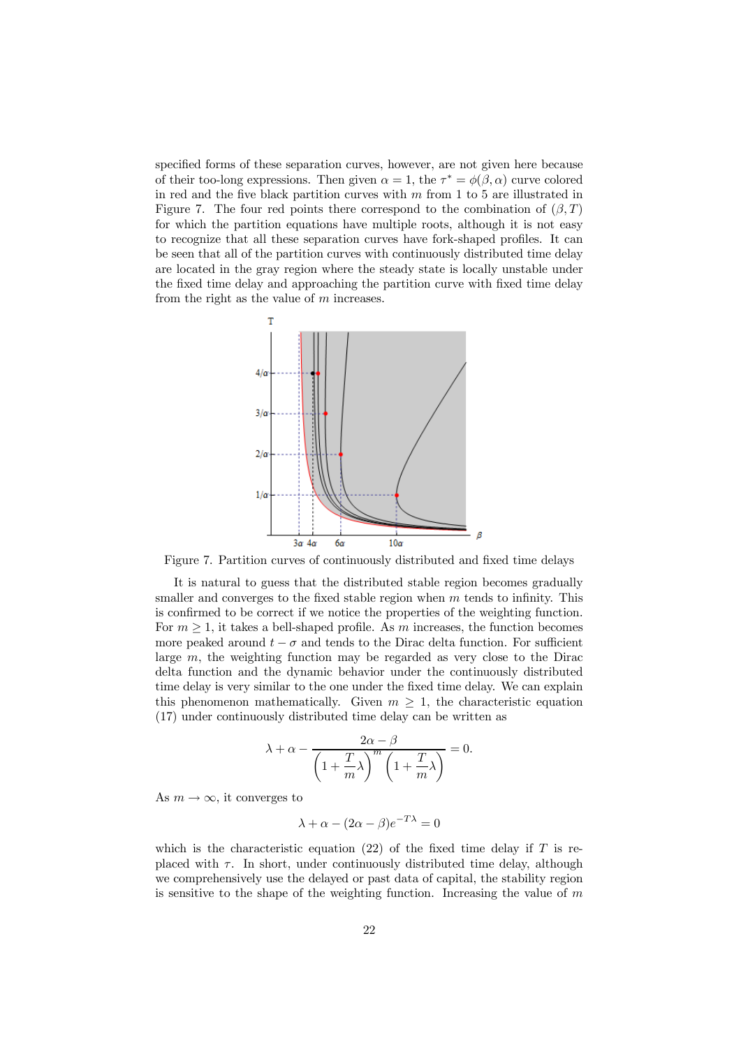specified forms of these separation curves, however, are not given here because of their too-long expressions. Then given  $\alpha = 1$ , the  $\tau^* = \phi(\beta, \alpha)$  curve colored in red and the five black partition curves with  $m$  from 1 to 5 are illustrated in Figure 7. The four red points there correspond to the combination of  $(\beta, T)$ for which the partition equations have multiple roots, although it is not easy to recognize that all these separation curves have fork-shaped profiles. It can be seen that all of the partition curves with continuously distributed time delay are located in the gray region where the steady state is locally unstable under the fixed time delay and approaching the partition curve with fixed time delay from the right as the value of  $m$  increases.



Figure 7. Partition curves of continuously distributed and fixed time delays

It is natural to guess that the distributed stable region becomes gradually smaller and converges to the fixed stable region when  $m$  tends to infinity. This is confirmed to be correct if we notice the properties of the weighting function. For  $m \geq 1$ , it takes a bell-shaped profile. As m increases, the function becomes more peaked around  $t - \sigma$  and tends to the Dirac delta function. For sufficient large m, the weighting function may be regarded as very close to the Dirac delta function and the dynamic behavior under the continuously distributed time delay is very similar to the one under the fixed time delay. We can explain this phenomenon mathematically. Given  $m \geq 1$ , the characteristic equation (17) under continuously distributed time delay can be written as

$$
\lambda + \alpha - \frac{2\alpha - \beta}{\left(1 + \frac{T}{m}\lambda\right)^m \left(1 + \frac{T}{m}\lambda\right)} = 0.
$$

As  $m \to \infty$ , it converges to

$$
\lambda + \alpha - (2\alpha - \beta)e^{-T\lambda} = 0
$$

which is the characteristic equation  $(22)$  of the fixed time delay if T is replaced with  $\tau$ . In short, under continuously distributed time delay, although we comprehensively use the delayed or past data of capital, the stability region is sensitive to the shape of the weighting function. Increasing the value of  $m$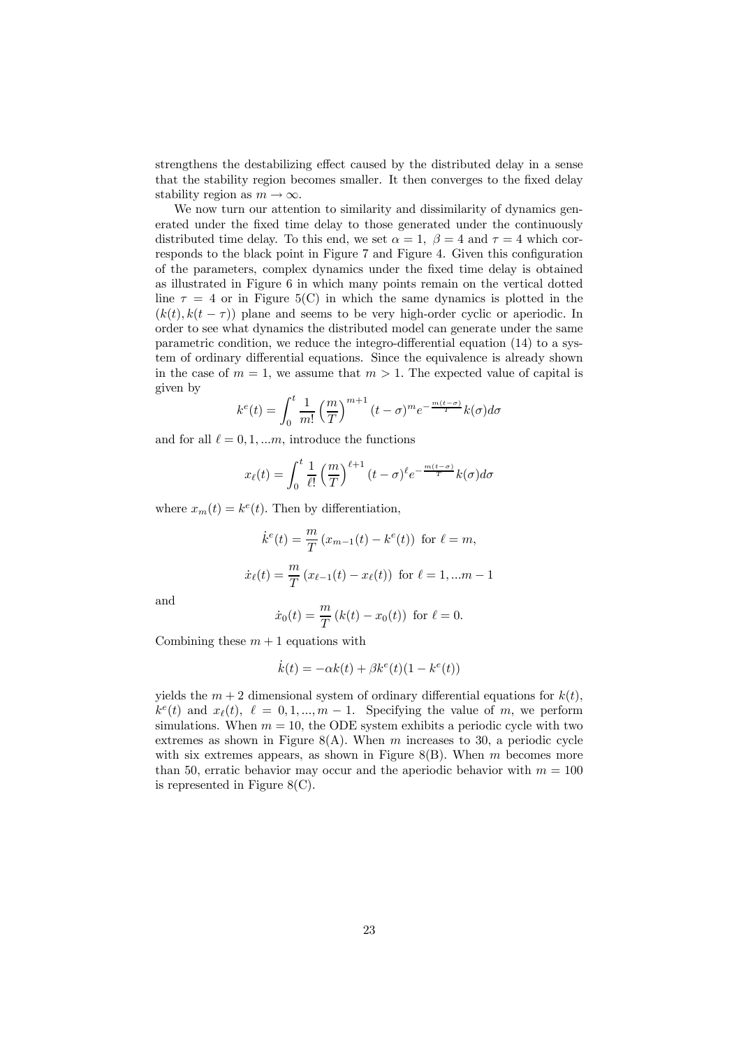strengthens the destabilizing effect caused by the distributed delay in a sense that the stability region becomes smaller. It then converges to the fixed delay stability region as  $m \to \infty$ .

We now turn our attention to similarity and dissimilarity of dynamics generated under the fixed time delay to those generated under the continuously distributed time delay. To this end, we set  $\alpha = 1$ ,  $\beta = 4$  and  $\tau = 4$  which corresponds to the black point in Figure 7 and Figure 4. Given this configuration of the parameters, complex dynamics under the fixed time delay is obtained as illustrated in Figure 6 in which many points remain on the vertical dotted line  $\tau = 4$  or in Figure 5(C) in which the same dynamics is plotted in the  $(k(t), k(t - \tau))$  plane and seems to be very high-order cyclic or aperiodic. In order to see what dynamics the distributed model can generate under the same parametric condition, we reduce the integro-differential equation (14) to a system of ordinary differential equations. Since the equivalence is already shown in the case of  $m = 1$ , we assume that  $m > 1$ . The expected value of capital is given by

$$
k^{e}(t) = \int_{0}^{t} \frac{1}{m!} \left(\frac{m}{T}\right)^{m+1} (t-\sigma)^{m} e^{-\frac{m(t-\sigma)}{T}} k(\sigma) d\sigma
$$

and for all  $\ell = 0, 1, \ldots m$ , introduce the functions

$$
x_{\ell}(t) = \int_0^t \frac{1}{\ell!} \left(\frac{m}{T}\right)^{\ell+1} (t-\sigma)^{\ell} e^{-\frac{m(t-\sigma)}{T}} k(\sigma) d\sigma
$$

where  $x_m(t) = k^e(t)$ . Then by differentiation,

$$
\dot{k}^{e}(t) = \frac{m}{T} (x_{m-1}(t) - k^{e}(t)) \text{ for } \ell = m,
$$
  

$$
\dot{x}_{\ell}(t) = \frac{m}{T} (x_{\ell-1}(t) - x_{\ell}(t)) \text{ for } \ell = 1, ... m - 1
$$

and

$$
\dot{x}_0(t) = \frac{m}{T} (k(t) - x_0(t))
$$
 for  $\ell = 0$ .

Combining these  $m + 1$  equations with

$$
\dot{k}(t) = -\alpha k(t) + \beta k^{e}(t)(1 - k^{e}(t))
$$

yields the  $m + 2$  dimensional system of ordinary differential equations for  $k(t)$ ,  $k^e(t)$  and  $x_{\ell}(t), \ell = 0, 1, ..., m-1$ . Specifying the value of m, we perform simulations. When  $m = 10$ , the ODE system exhibits a periodic cycle with two extremes as shown in Figure 8(A). When  $m$  increases to 30, a periodic cycle with six extremes appears, as shown in Figure 8(B). When  $m$  becomes more than 50, erratic behavior may occur and the aperiodic behavior with  $m = 100$ is represented in Figure 8(C).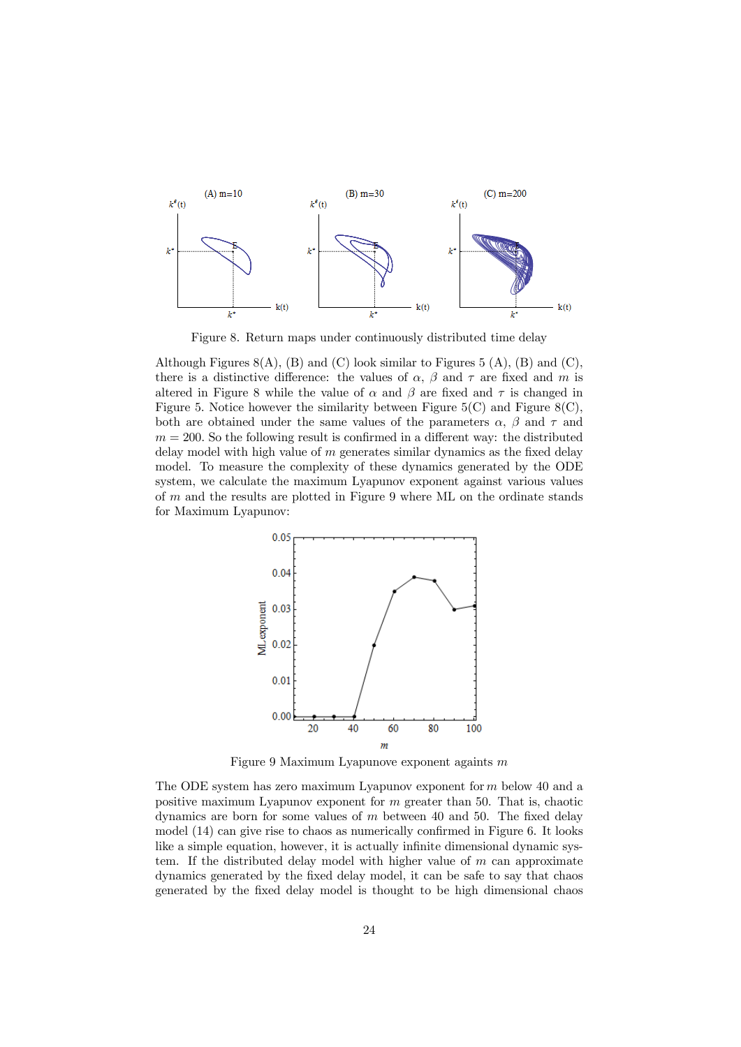

Figure 8. Return maps under continuously distributed time delay

Although Figures  $8(A)$ , (B) and (C) look similar to Figures 5 (A), (B) and (C), there is a distinctive difference: the values of  $\alpha$ ,  $\beta$  and  $\tau$  are fixed and m is altered in Figure 8 while the value of  $\alpha$  and  $\beta$  are fixed and  $\tau$  is changed in Figure 5. Notice however the similarity between Figure  $5(C)$  and Figure  $8(C)$ , both are obtained under the same values of the parameters  $\alpha$ ,  $\beta$  and  $\tau$  and  $m = 200$ . So the following result is confirmed in a different way: the distributed delay model with high value of  $m$  generates similar dynamics as the fixed delay model. To measure the complexity of these dynamics generated by the ODE system, we calculate the maximum Lyapunov exponent against various values of m and the results are plotted in Figure 9 where ML on the ordinate stands for Maximum Lyapunov:



Figure 9 Maximum Lyapunove exponent againts m

The ODE system has zero maximum Lyapunov exponent for m below 40 and a positive maximum Lyapunov exponent for  $m$  greater than 50. That is, chaotic dynamics are born for some values of  $m$  between 40 and 50. The fixed delay model (14) can give rise to chaos as numerically confirmed in Figure 6. It looks like a simple equation, however, it is actually infinite dimensional dynamic system. If the distributed delay model with higher value of  $m$  can approximate dynamics generated by the fixed delay model, it can be safe to say that chaos generated by the fixed delay model is thought to be high dimensional chaos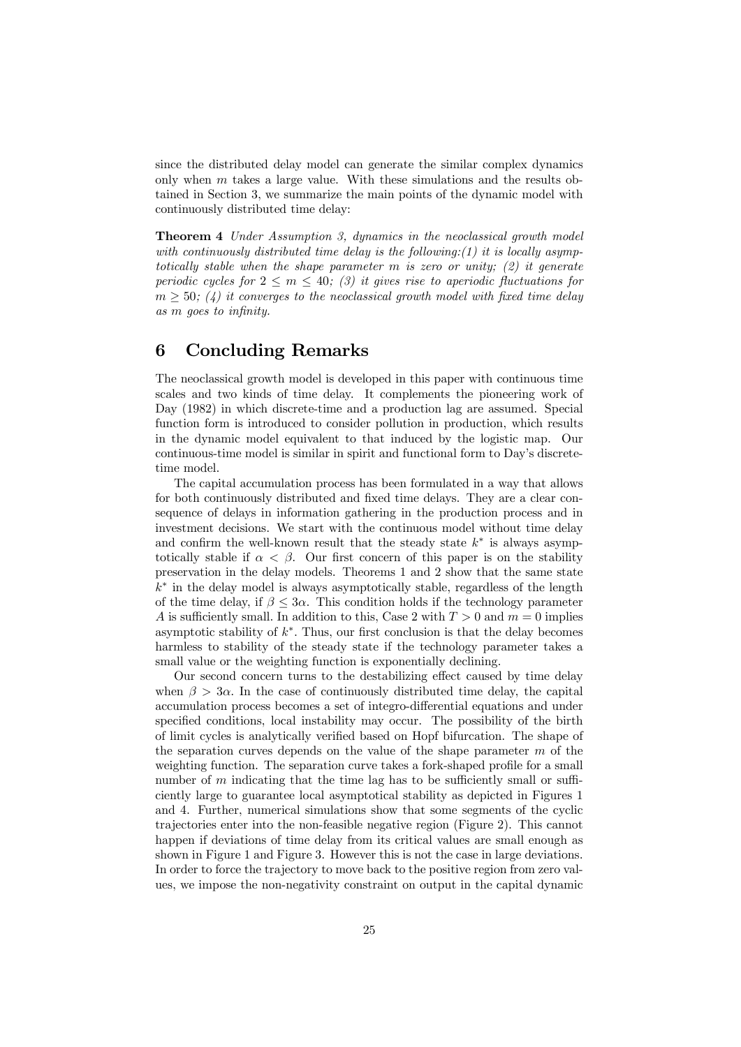since the distributed delay model can generate the similar complex dynamics only when  $m$  takes a large value. With these simulations and the results obtained in Section 3, we summarize the main points of the dynamic model with continuously distributed time delay:

Theorem 4 *Under Assumption 3, dynamics in the neoclassical growth model with continuously distributed time delay is the following:(1) it is locally asymptotically stable when the shape parameter* m *is zero or unity; (2) it generate periodic cycles for*  $2 \leq m \leq 40$ ; (3) it gives rise to aperiodic fluctuations for m ≥ 50*; (4) it converges to the neoclassical growth model with fixed time delay as* m *goes to infinity.*

## 6 Concluding Remarks

The neoclassical growth model is developed in this paper with continuous time scales and two kinds of time delay. It complements the pioneering work of Day (1982) in which discrete-time and a production lag are assumed. Special function form is introduced to consider pollution in production, which results in the dynamic model equivalent to that induced by the logistic map. Our continuous-time model is similar in spirit and functional form to Day's discretetime model.

The capital accumulation process has been formulated in a way that allows for both continuously distributed and fixed time delays. They are a clear consequence of delays in information gathering in the production process and in investment decisions. We start with the continuous model without time delay and confirm the well-known result that the steady state  $k^*$  is always asymptotically stable if  $\alpha < \beta$ . Our first concern of this paper is on the stability preservation in the delay models. Theorems 1 and 2 show that the same state  $\vec{k}^*$  in the delay model is always asymptotically stable, regardless of the length of the time delay, if  $\beta \leq 3\alpha$ . This condition holds if the technology parameter A is sufficiently small. In addition to this, Case 2 with  $T > 0$  and  $m = 0$  implies asymptotic stability of  $k^*$ . Thus, our first conclusion is that the delay becomes harmless to stability of the steady state if the technology parameter takes a small value or the weighting function is exponentially declining.

Our second concern turns to the destabilizing effect caused by time delay when  $\beta > 3\alpha$ . In the case of continuously distributed time delay, the capital accumulation process becomes a set of integro-differential equations and under specified conditions, local instability may occur. The possibility of the birth of limit cycles is analytically verified based on Hopf bifurcation. The shape of the separation curves depends on the value of the shape parameter  $m$  of the weighting function. The separation curve takes a fork-shaped profile for a small number of  $m$  indicating that the time lag has to be sufficiently small or sufficiently large to guarantee local asymptotical stability as depicted in Figures 1 and 4. Further, numerical simulations show that some segments of the cyclic trajectories enter into the non-feasible negative region (Figure 2). This cannot happen if deviations of time delay from its critical values are small enough as shown in Figure 1 and Figure 3. However this is not the case in large deviations. In order to force the trajectory to move back to the positive region from zero values, we impose the non-negativity constraint on output in the capital dynamic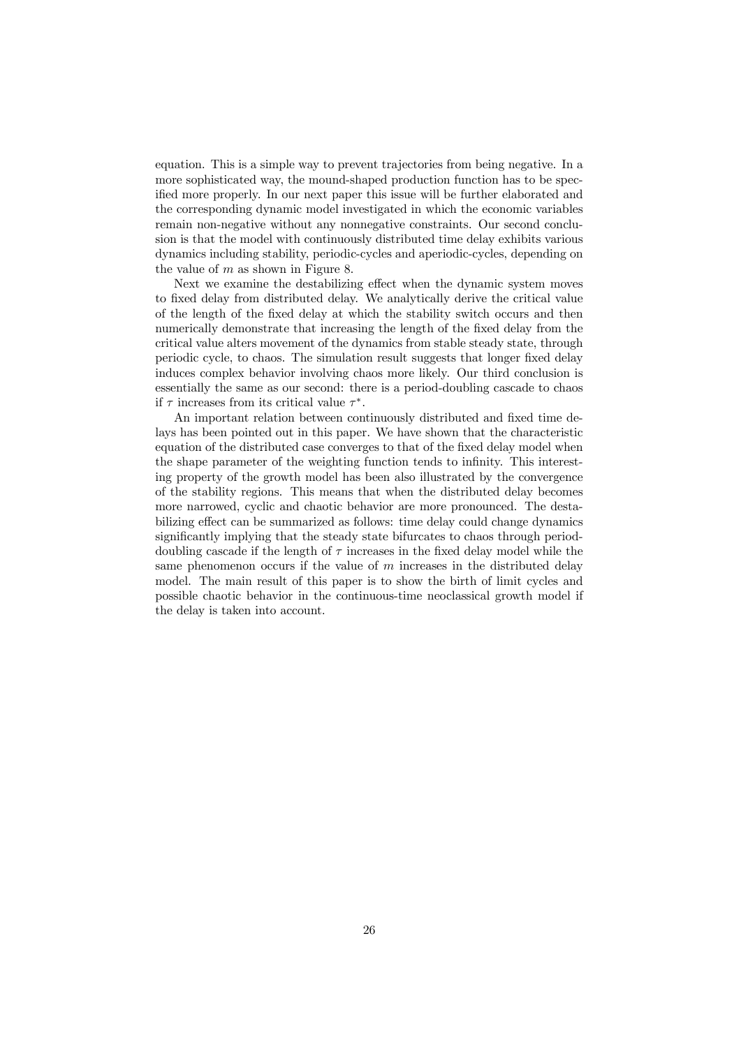equation. This is a simple way to prevent trajectories from being negative. In a more sophisticated way, the mound-shaped production function has to be specified more properly. In our next paper this issue will be further elaborated and the corresponding dynamic model investigated in which the economic variables remain non-negative without any nonnegative constraints. Our second conclusion is that the model with continuously distributed time delay exhibits various dynamics including stability, periodic-cycles and aperiodic-cycles, depending on the value of  $m$  as shown in Figure 8.

Next we examine the destabilizing effect when the dynamic system moves to fixed delay from distributed delay. We analytically derive the critical value of the length of the fixed delay at which the stability switch occurs and then numerically demonstrate that increasing the length of the fixed delay from the critical value alters movement of the dynamics from stable steady state, through periodic cycle, to chaos. The simulation result suggests that longer fixed delay induces complex behavior involving chaos more likely. Our third conclusion is essentially the same as our second: there is a period-doubling cascade to chaos if  $\tau$  increases from its critical value  $\tau^*$ .

An important relation between continuously distributed and fixed time delays has been pointed out in this paper. We have shown that the characteristic equation of the distributed case converges to that of the fixed delay model when the shape parameter of the weighting function tends to infinity. This interesting property of the growth model has been also illustrated by the convergence of the stability regions. This means that when the distributed delay becomes more narrowed, cyclic and chaotic behavior are more pronounced. The destabilizing effect can be summarized as follows: time delay could change dynamics significantly implying that the steady state bifurcates to chaos through perioddoubling cascade if the length of  $\tau$  increases in the fixed delay model while the same phenomenon occurs if the value of  $m$  increases in the distributed delay model. The main result of this paper is to show the birth of limit cycles and possible chaotic behavior in the continuous-time neoclassical growth model if the delay is taken into account.